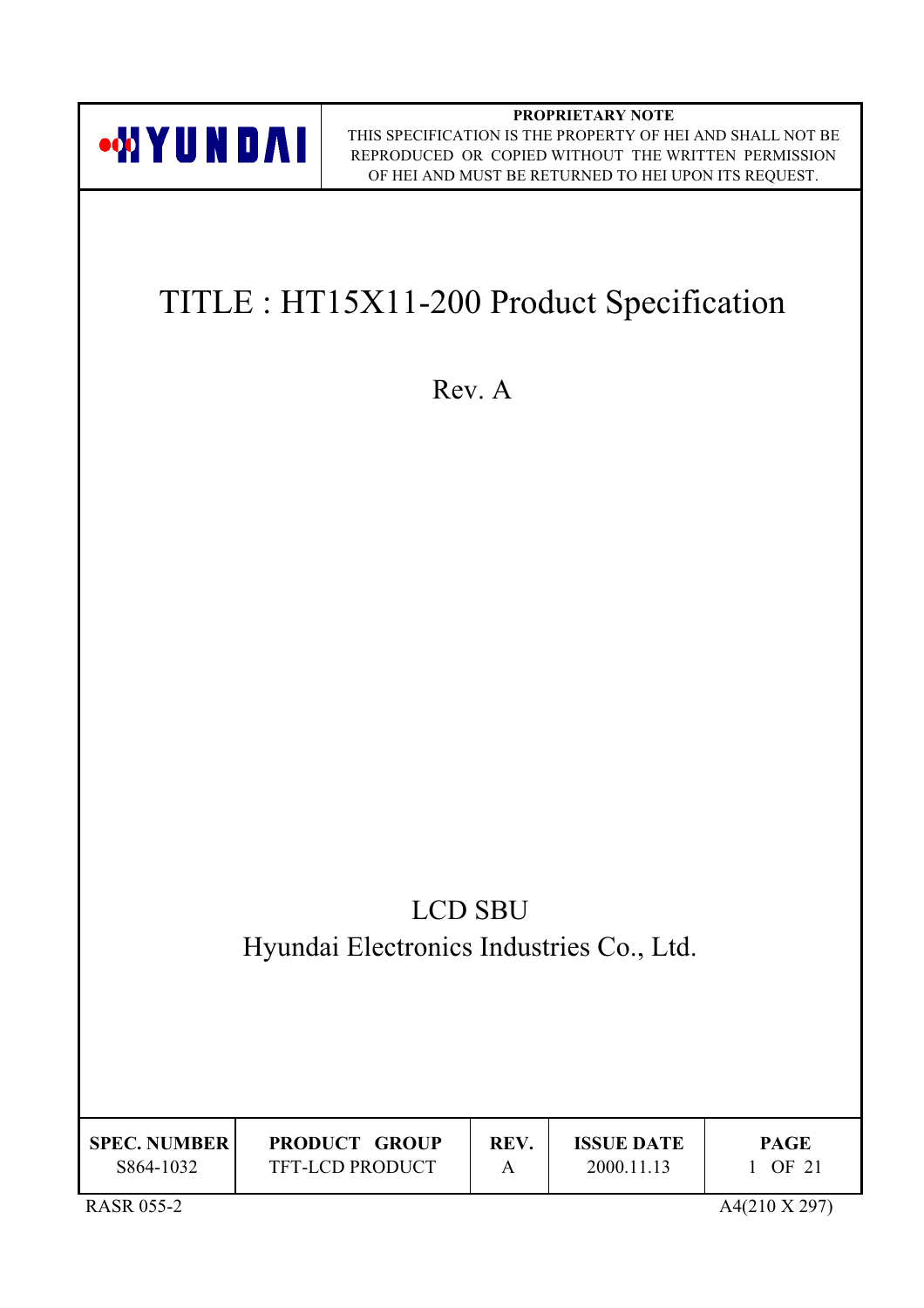

| <b>SPEC. NUMBER</b> | <b>PRODUCT GROUP</b>   | <b>REV</b> | <b>ISSUE DATE</b> | <b>PAGE</b> |
|---------------------|------------------------|------------|-------------------|-------------|
| S864-1032           | <b>TFT-LCD PRODUCT</b> |            | 2000.11.13        | OF 21       |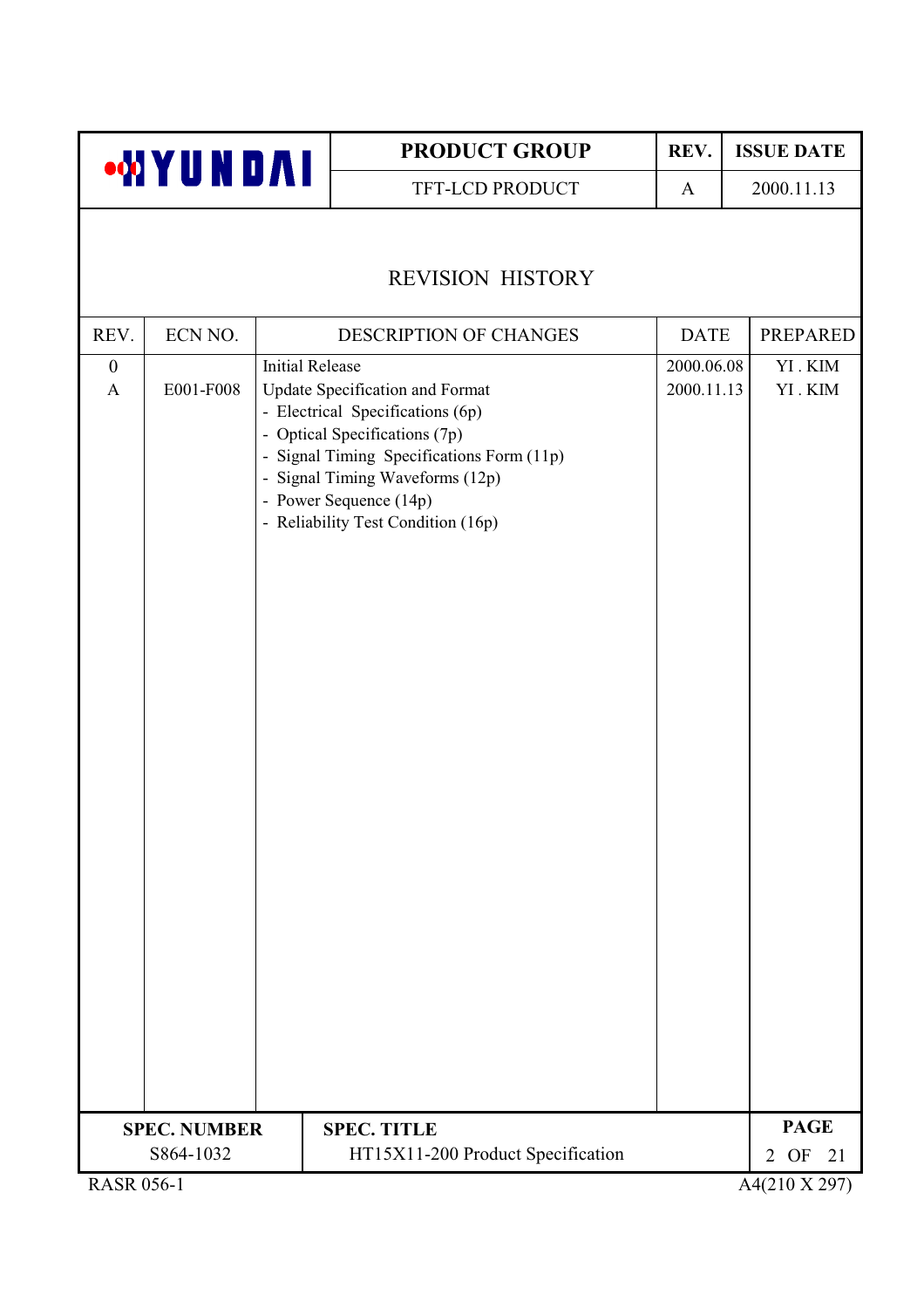|                                             |                     |                        | <b>PRODUCT GROUP</b>                                                                                                                                                                                                                                 | REV.                     | <b>ISSUE DATE</b>                        |
|---------------------------------------------|---------------------|------------------------|------------------------------------------------------------------------------------------------------------------------------------------------------------------------------------------------------------------------------------------------------|--------------------------|------------------------------------------|
|                                             | <b>WYUNDAI</b>      |                        | TFT-LCD PRODUCT                                                                                                                                                                                                                                      | A                        | 2000.11.13                               |
|                                             |                     |                        | <b>REVISION HISTORY</b>                                                                                                                                                                                                                              |                          |                                          |
| REV.                                        | ECN NO.             |                        | DESCRIPTION OF CHANGES                                                                                                                                                                                                                               | <b>DATE</b>              | <b>PREPARED</b>                          |
| $\boldsymbol{0}$<br>$\mathbf{A}$            | E001-F008           | <b>Initial Release</b> | Update Specification and Format<br>- Electrical Specifications (6p)<br>- Optical Specifications (7p)<br>- Signal Timing Specifications Form (11p)<br>- Signal Timing Waveforms (12p)<br>- Power Sequence (14p)<br>- Reliability Test Condition (16p) | 2000.06.08<br>2000.11.13 | YI.KIM<br>YI.KIM                         |
|                                             | <b>SPEC. NUMBER</b> |                        | <b>SPEC. TITLE</b>                                                                                                                                                                                                                                   |                          | <b>PAGE</b>                              |
| $R$ $\triangle$ $R$ $R$ $R$ $R$ $S$ $K$ $1$ | S864-1032           |                        | HT15X11-200 Product Specification                                                                                                                                                                                                                    |                          | $2$ OF<br>21<br>$A/(210 \text{ Y } 207)$ |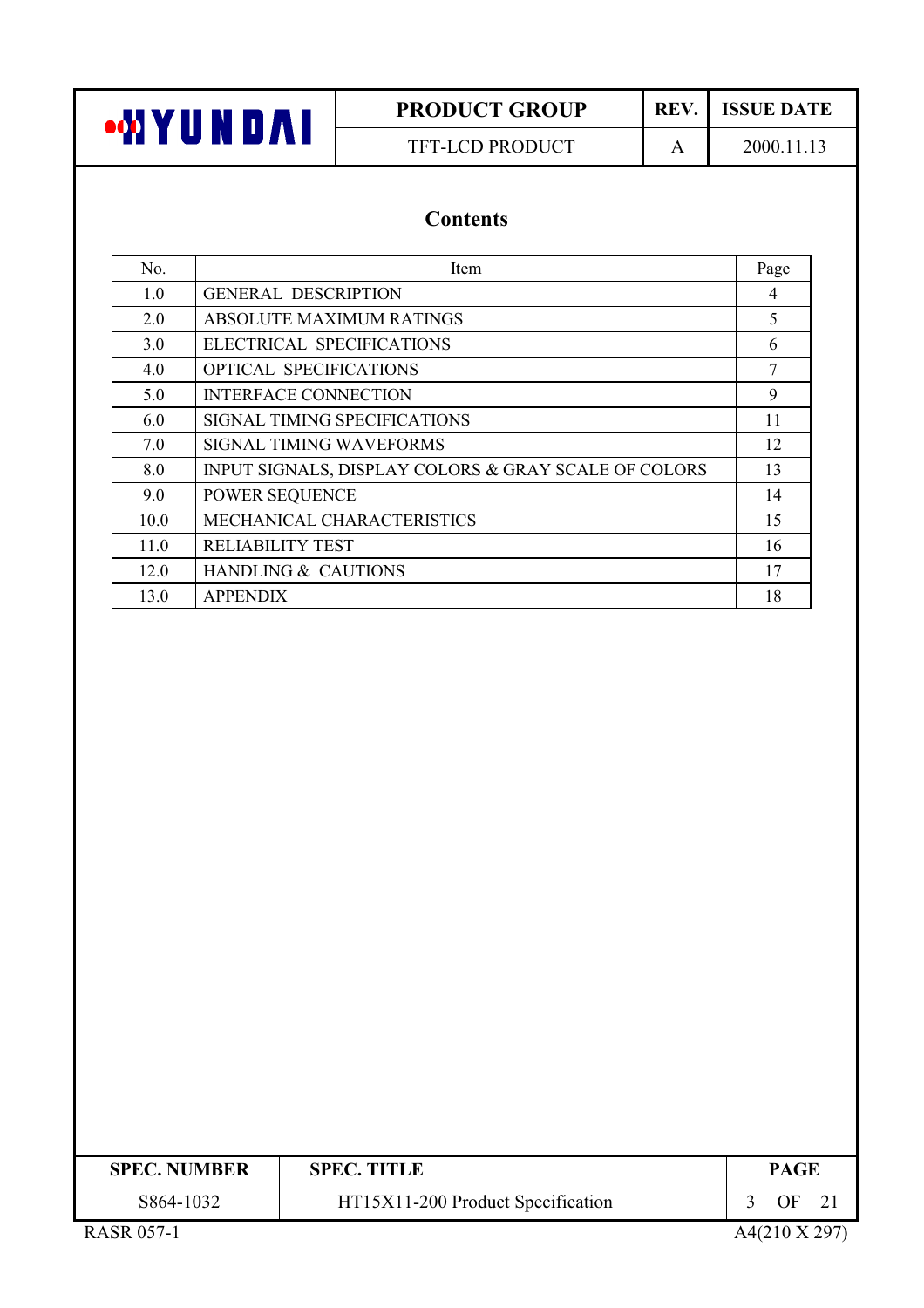

# **PRODUCT GROUP** TFT-LCD PRODUCT

REV. **ISSUE DATE** 

 $\mathbf{A}$ 

2000.11.13

## **Contents**

| No.  | Item                                                 | Page |
|------|------------------------------------------------------|------|
| 1.0  | <b>GENERAL DESCRIPTION</b>                           | 4    |
| 2.0  | ABSOLUTE MAXIMUM RATINGS                             | 5    |
| 3.0  | ELECTRICAL SPECIFICATIONS                            | 6    |
| 4.0  | <b>OPTICAL SPECIFICATIONS</b>                        | 7    |
| 5.0  | <b>INTERFACE CONNECTION</b>                          | 9    |
| 6.0  | SIGNAL TIMING SPECIFICATIONS                         | 11   |
| 7.0  | <b>SIGNAL TIMING WAVEFORMS</b>                       | 12   |
| 8.0  | INPUT SIGNALS, DISPLAY COLORS & GRAY SCALE OF COLORS | 13   |
| 9.0  | POWER SEQUENCE                                       | 14   |
| 10.0 | <b>MECHANICAL CHARACTERISTICS</b>                    | 15   |
| 11.0 | <b>RELIABILITY TEST</b>                              | 16   |
| 12.0 | <b>HANDLING &amp; CAUTIONS</b>                       | 17   |
| 13.0 | <b>APPENDIX</b>                                      | 18   |

| <b>SPEC. NUMBER</b> | <b>SPEC. TITLE</b>                | <b>PAGE</b> |
|---------------------|-----------------------------------|-------------|
| S864-1032           | HT15X11-200 Product Specification | OΕ          |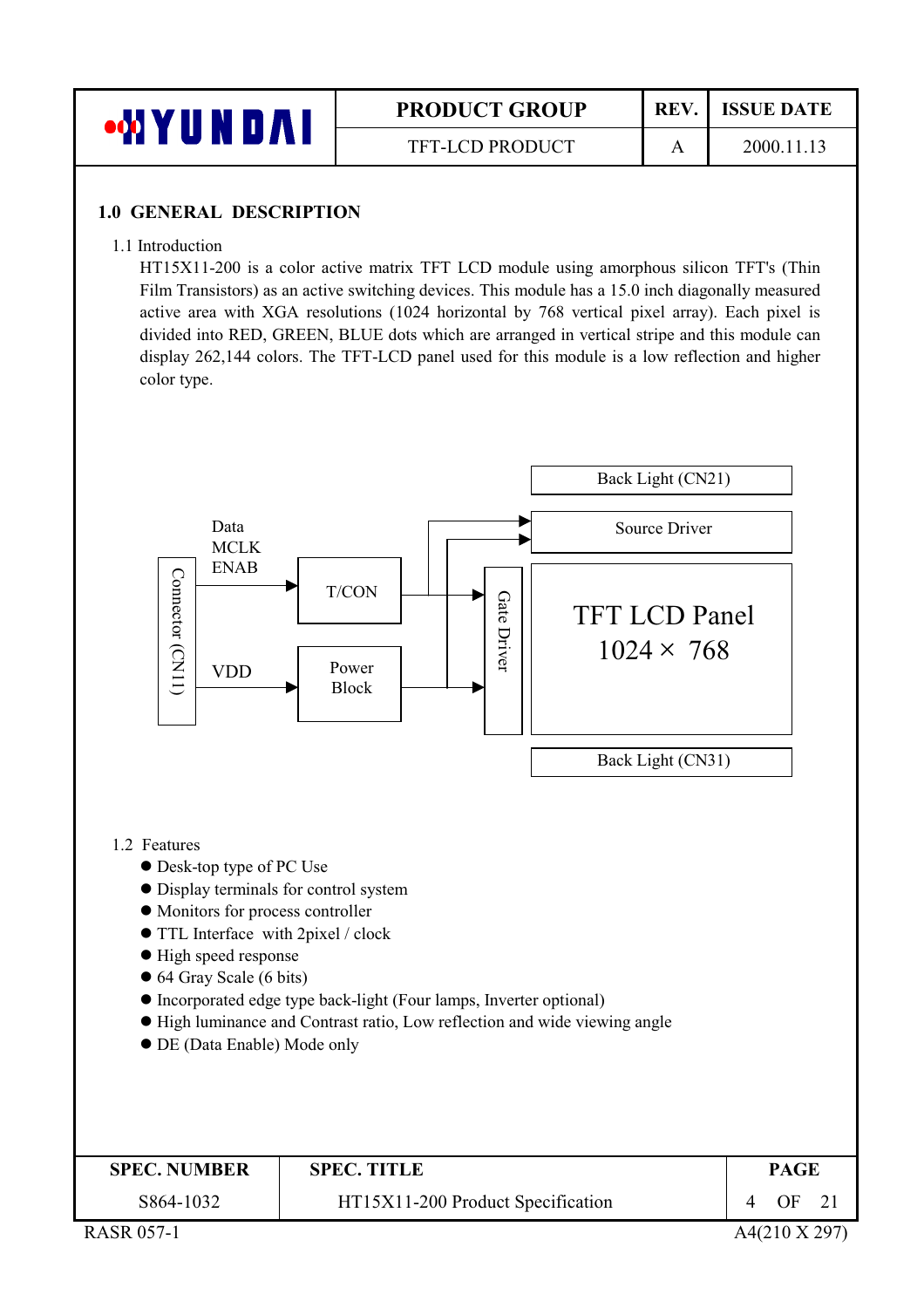

#### **1.0 GENERAL DESCRIPTION**

1.1 Introduction

HT15X11-200 is a color active matrix TFT LCD module using amorphous silicon TFT's (Thin Film Transistors) as an active switching devices. This module has a 15.0 inch diagonally measured active area with XGA resolutions (1024 horizontal by 768 vertical pixel array). Each pixel is divided into RED, GREEN, BLUE dots which are arranged in vertical stripe and this module can display 262,144 colors. The TFT-LCD panel used for this module is a low reflection and higher color type.

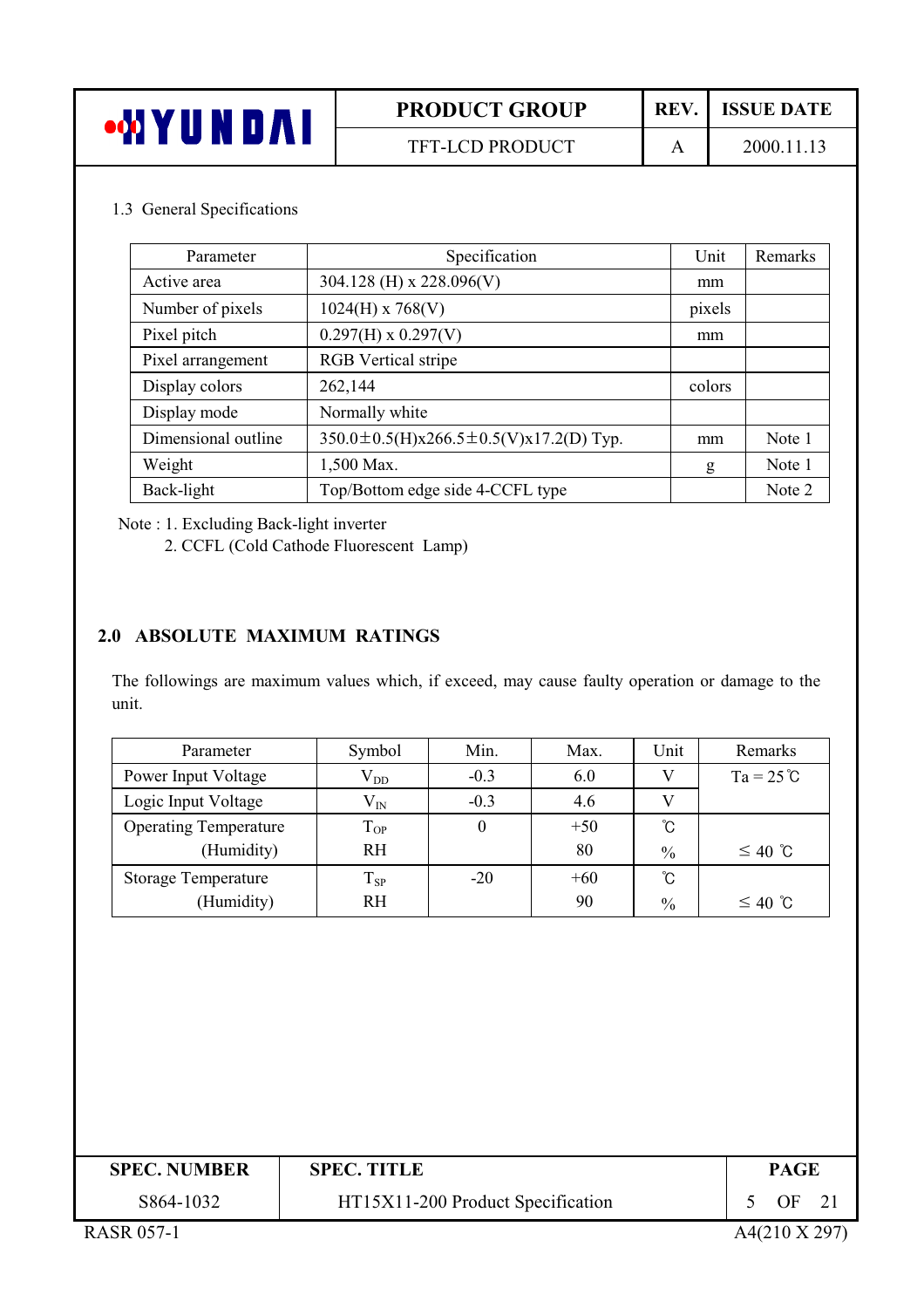| 'NDA.<br>T | <b>PRODUCT GROUP</b>   | REV. | <b>ISSUE DATE</b> |
|------------|------------------------|------|-------------------|
|            | <b>TFT-LCD PRODUCT</b> |      | 2000.11.13        |

#### 1.3 General Specifications

| Parameter           | Specification                                       | Unit   | Remarks |
|---------------------|-----------------------------------------------------|--------|---------|
| Active area         | 304.128 (H) x 228.096(V)                            | mm     |         |
| Number of pixels    | $1024(H)$ x 768(V)                                  | pixels |         |
| Pixel pitch         | $0.297(H) \times 0.297(V)$                          | mm     |         |
| Pixel arrangement   | <b>RGB</b> Vertical stripe                          |        |         |
| Display colors      | 262,144                                             | colors |         |
| Display mode        | Normally white                                      |        |         |
| Dimensional outline | $350.0 \pm 0.5$ (H)x266.5 $\pm$ 0.5(V)x17.2(D) Typ. | mm     | Note 1  |
| Weight              | 1,500 Max.                                          | g      | Note 1  |
| Back-light          | Top/Bottom edge side 4-CCFL type                    |        | Note 2  |

Note: 1. Excluding Back-light inverter

2. CCFL (Cold Cathode Fluorescent Lamp)

#### 2.0 ABSOLUTE MAXIMUM RATINGS

The followings are maximum values which, if exceed, may cause faulty operation or damage to the unit.

| Parameter                    | Symbol       | Min.   | Max.  | Unit            | Remarks            |
|------------------------------|--------------|--------|-------|-----------------|--------------------|
| Power Input Voltage          | $\rm V_{DD}$ | $-0.3$ | 6.0   | V               | $Ta = 25^{\circ}C$ |
| Logic Input Voltage          | $\rm V_{IN}$ | $-0.3$ | 4.6   |                 |                    |
| <b>Operating Temperature</b> | $T_{OP}$     | 0      | $+50$ | °C              |                    |
| (Humidity)                   | <b>RH</b>    |        | 80    | $\frac{0}{0}$   | $≤ 40$ ℃           |
| <b>Storage Temperature</b>   | $T_{SP}$     | $-20$  | $+60$ | $\rm ^{\circ}C$ |                    |
| (Humidity)                   | <b>RH</b>    |        | 90    | $\frac{0}{0}$   | $≤ 40$ ℃           |

| <b>SPEC. NUMBER</b>                      | <b>SPEC. TITLE</b>                | <b>PAGE</b> |
|------------------------------------------|-----------------------------------|-------------|
| S864-1032                                | HT15X11-200 Product Specification | OF.         |
| $P$ $\Lambda$ $CD$ $\Lambda$ $F$ $7$ $1$ |                                   |             |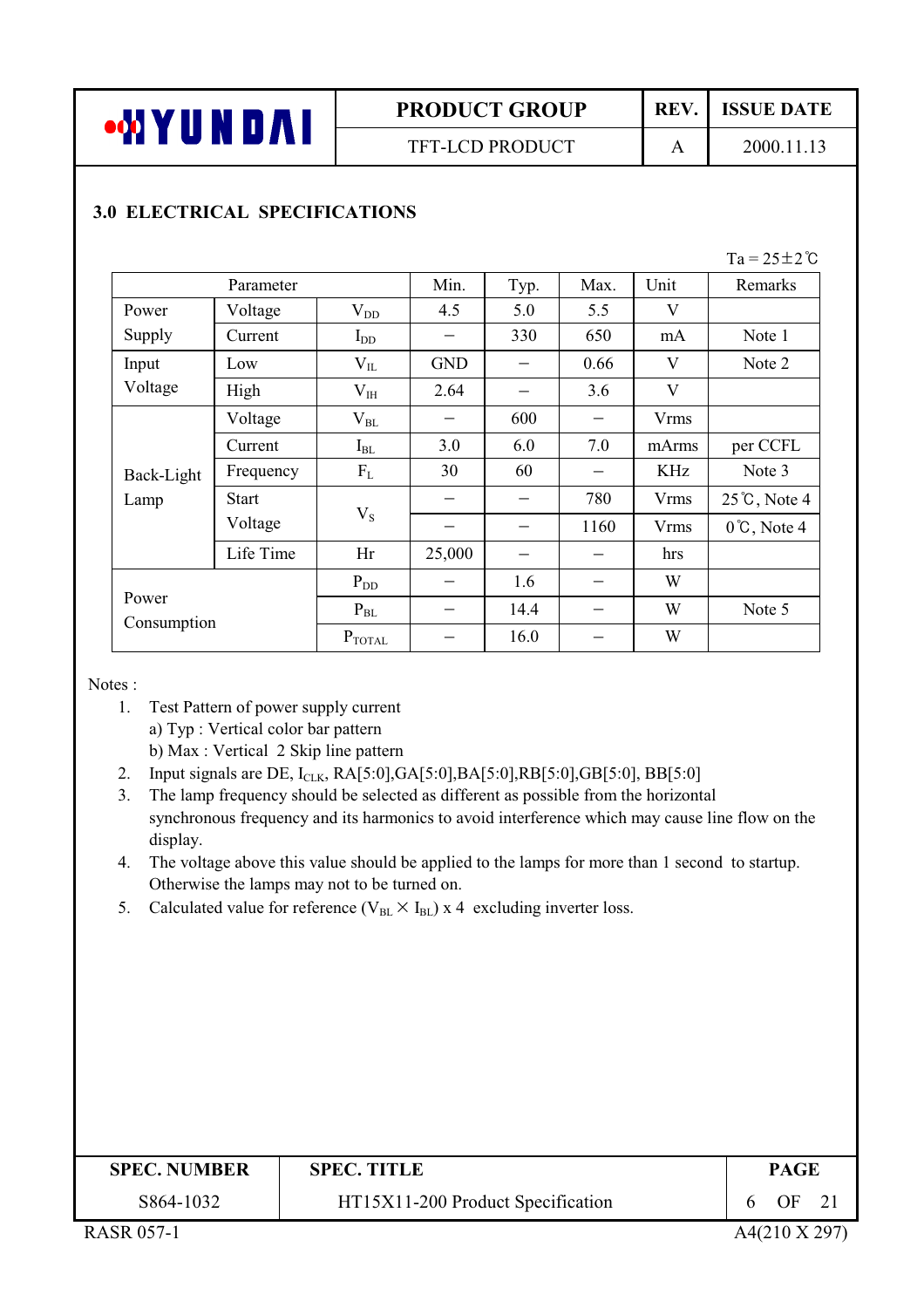

**TFT-LCD PRODUCT** 

REV.

 $\overline{A}$ 

2000.11.13

**ISSUE DATE** 

## **3.0 ELECTRICAL SPECIFICATIONS**

 $Ta = 25 \pm 2 \degree C$ 

|                      | Parameter    |                    | Min.       | Typ. | Max. | Unit        | Remarks                |
|----------------------|--------------|--------------------|------------|------|------|-------------|------------------------|
| Power                | Voltage      | $V_{DD}$           | 4.5        | 5.0  | 5.5  | V           |                        |
| Supply               | Current      | $I_{DD}$           |            | 330  | 650  | mA          | Note 1                 |
| Input                | Low          | $V_{IL}$           | <b>GND</b> |      | 0.66 | V           | Note 2                 |
| Voltage              | High         | $\rm V_{IH}$       | 2.64       |      | 3.6  | V           |                        |
|                      | Voltage      | $\rm V_{BL}$       |            | 600  |      | <b>Vrms</b> |                        |
|                      | Current      | $I_{BL}$           | 3.0        | 6.0  | 7.0  | mArms       | per CCFL               |
| Back-Light           | Frequency    | $F_{L}$            | 30         | 60   |      | <b>KHz</b>  | Note 3                 |
| Lamp                 | <b>Start</b> |                    |            |      | 780  | <b>Vrms</b> | $25^{\circ}$ C, Note 4 |
|                      | Voltage      | $V_{S}$            |            |      | 1160 | <b>Vrms</b> | $0^{\circ}$ C, Note 4  |
|                      | Life Time    | Hr                 | 25,000     |      |      | hrs         |                        |
|                      |              | $P_{DD}$           |            | 1.6  |      | W           |                        |
| Power<br>Consumption |              | $P_{BL}$           |            | 14.4 |      | W           | Note 5                 |
|                      |              | $P_{\text{TOTAL}}$ |            | 16.0 |      | W           |                        |

Notes:

- 1. Test Pattern of power supply current a) Typ : Vertical color bar pattern b) Max: Vertical 2 Skip line pattern
- 2. Input signals are DE,  $I_{CLK}$ , RA[5:0], GA[5:0], BA[5:0], RB[5:0], GB[5:0], BB[5:0]
- 3. The lamp frequency should be selected as different as possible from the horizontal synchronous frequency and its harmonics to avoid interference which may cause line flow on the display.
- 4. The voltage above this value should be applied to the lamps for more than 1 second to startup. Otherwise the lamps may not to be turned on.
- 5. Calculated value for reference ( $V_{BL} \times I_{BL}$ ) x 4 excluding inverter loss.

| <b>SPEC. NUMBER</b> | <b>SPEC. TITLE</b>                | PAGE |  |
|---------------------|-----------------------------------|------|--|
| S864-1032           | HT15X11-200 Product Specification | OF   |  |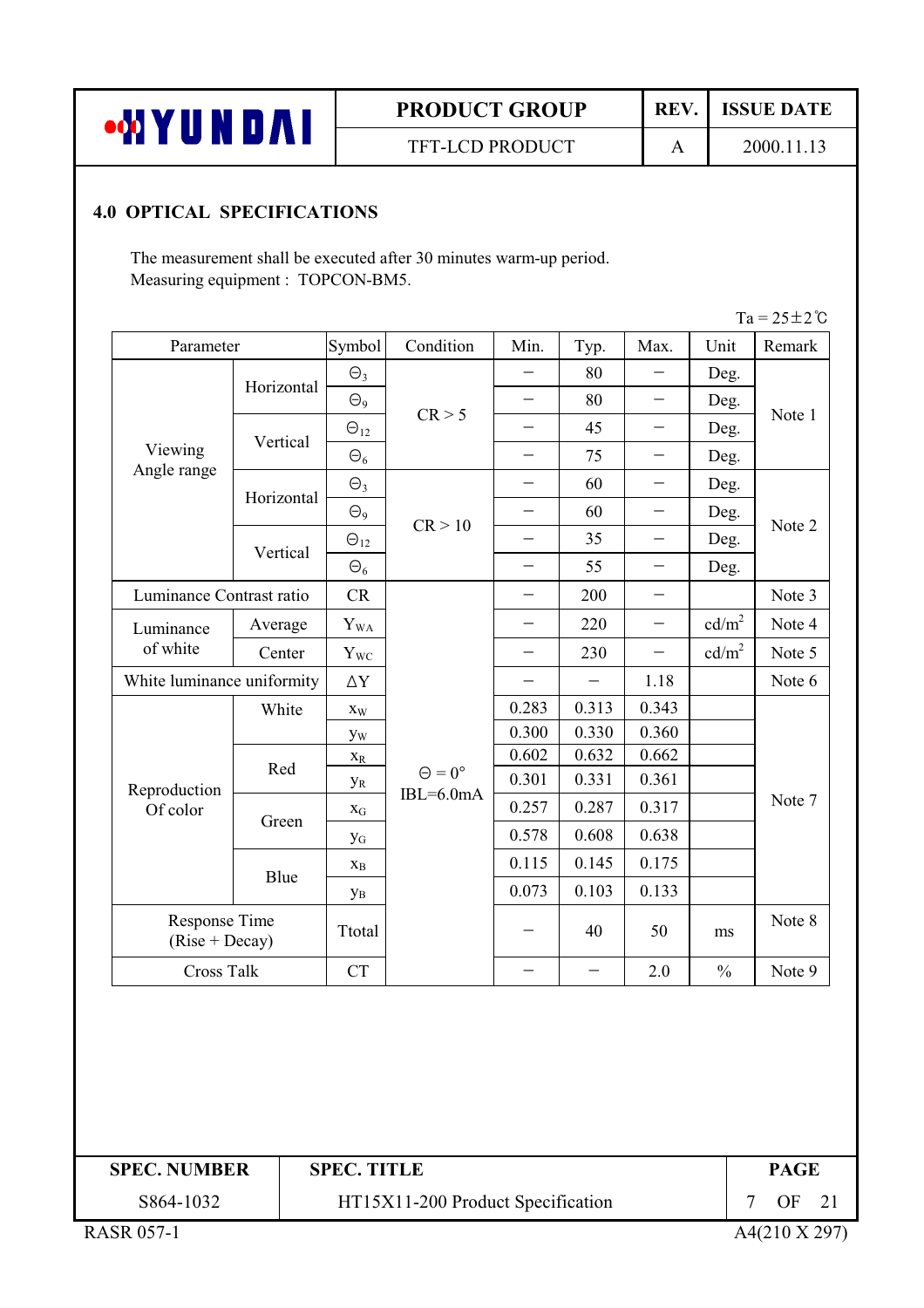| •WYUNDAI |  |  |  |
|----------|--|--|--|
|          |  |  |  |

TFT-LCD PRODUCT

REV. **ISSUE DATE** 

 $\mathbf{A}$ 

2000.11.13

#### **4.0 OPTICAL SPECIFICATIONS**

The measurement shall be executed after 30 minutes warm-up period. Measuring equipment : TOPCON-BM5.

 $Ta = 25 + 2^{\circ}C$ 

| $\Theta_{9}$<br>CR > 5<br>$\Theta_{12}$<br>$\Theta$ <sub>9</sub><br>CR > 10<br>$\Theta_{12}$<br>$\Theta_6$<br>CR<br>$\mathbf{Y}_{\mathrm{WA}}$ | $\overline{\phantom{0}}$<br>$\overline{\phantom{0}}$<br>$\overline{\phantom{0}}$<br>$\overline{\phantom{0}}$<br>$\overline{\phantom{0}}$ | 80<br>80<br>45<br>75<br>60<br>60<br>35<br>55<br>200<br>220 | $\qquad \qquad -$<br>$\qquad \qquad -$<br>$\qquad \qquad -$ | Deg.<br>Deg.<br>Deg.<br>Deg.<br>Deg.<br>Deg.<br>Deg.<br>Deg.             | Note 1<br>Note 2 |
|------------------------------------------------------------------------------------------------------------------------------------------------|------------------------------------------------------------------------------------------------------------------------------------------|------------------------------------------------------------|-------------------------------------------------------------|--------------------------------------------------------------------------|------------------|
|                                                                                                                                                |                                                                                                                                          |                                                            |                                                             |                                                                          |                  |
|                                                                                                                                                |                                                                                                                                          |                                                            |                                                             |                                                                          |                  |
|                                                                                                                                                |                                                                                                                                          |                                                            |                                                             |                                                                          |                  |
|                                                                                                                                                |                                                                                                                                          |                                                            |                                                             |                                                                          |                  |
|                                                                                                                                                |                                                                                                                                          |                                                            |                                                             |                                                                          |                  |
|                                                                                                                                                |                                                                                                                                          |                                                            |                                                             |                                                                          |                  |
|                                                                                                                                                |                                                                                                                                          |                                                            |                                                             |                                                                          |                  |
|                                                                                                                                                |                                                                                                                                          |                                                            |                                                             |                                                                          |                  |
|                                                                                                                                                |                                                                                                                                          |                                                            |                                                             |                                                                          | Note 3           |
|                                                                                                                                                |                                                                                                                                          |                                                            |                                                             | cd/m <sup>2</sup>                                                        | Note 4           |
| $Y_{WC}$                                                                                                                                       | $\overline{\phantom{0}}$                                                                                                                 | 230                                                        | $\overline{\phantom{m}}$                                    | cd/m <sup>2</sup>                                                        | Note 5           |
| $\Delta \rm Y$                                                                                                                                 |                                                                                                                                          |                                                            | 1.18                                                        |                                                                          | Note 6           |
|                                                                                                                                                | 0.283                                                                                                                                    | 0.313                                                      | 0.343                                                       |                                                                          |                  |
|                                                                                                                                                | 0.300                                                                                                                                    | 0.330                                                      | 0.360                                                       |                                                                          |                  |
|                                                                                                                                                | 0.602                                                                                                                                    | 0.632                                                      | 0.662                                                       |                                                                          |                  |
| $\Theta = 0^{\circ}$<br>$IBL=6.0mA$                                                                                                            | 0.301                                                                                                                                    | 0.331                                                      | 0.361                                                       |                                                                          |                  |
|                                                                                                                                                | 0.257                                                                                                                                    | 0.287                                                      | 0.317                                                       |                                                                          | Note 7           |
|                                                                                                                                                | 0.578                                                                                                                                    | 0.608                                                      | 0.638                                                       |                                                                          |                  |
|                                                                                                                                                | 0.115                                                                                                                                    | 0.145                                                      | 0.175                                                       |                                                                          |                  |
|                                                                                                                                                | 0.073                                                                                                                                    | 0.103                                                      | 0.133                                                       |                                                                          |                  |
|                                                                                                                                                |                                                                                                                                          | 40                                                         | 50                                                          | ms                                                                       | Note 8           |
|                                                                                                                                                |                                                                                                                                          |                                                            |                                                             | $\frac{0}{0}$                                                            | Note 9           |
| $X_{B}$<br>$y_B$                                                                                                                               | Ttotal                                                                                                                                   |                                                            |                                                             | <b>CT</b><br>2.0<br>$\overline{\phantom{0}}$<br>$\overline{\phantom{0}}$ |                  |

# **SPEC. TITLE**

**PAGE** 7 OF 21

S864-1032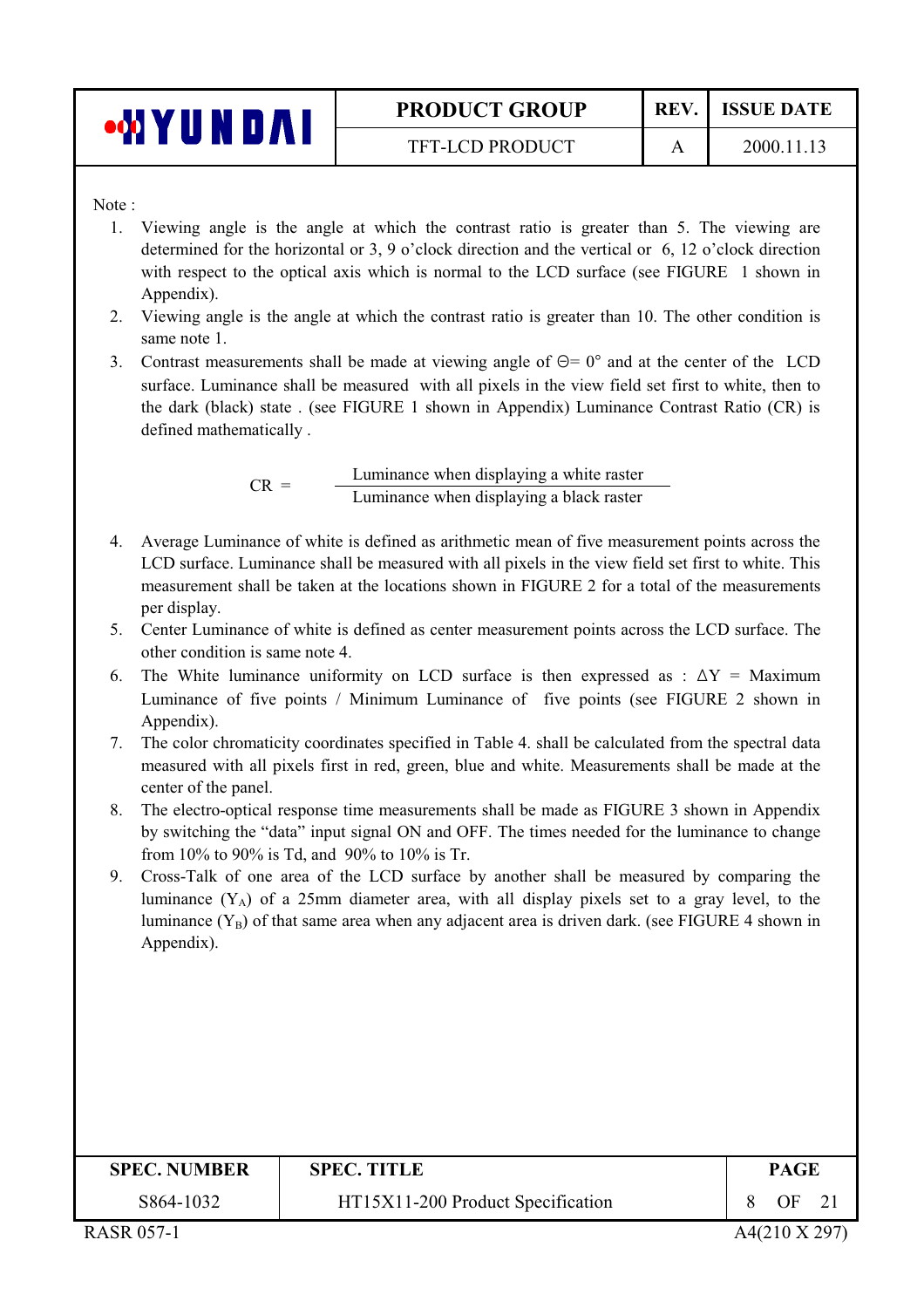| •WYUNDAI |  |
|----------|--|
|----------|--|

**TFT-LCD PRODUCT** 

 $\mathbf{A}$ 

Note:

- 1. Viewing angle is the angle at which the contrast ratio is greater than 5. The viewing are determined for the horizontal or 3, 9 o'clock direction and the vertical or 6, 12 o'clock direction with respect to the optical axis which is normal to the LCD surface (see FIGURE 1 shown in Appendix).
- 2. Viewing angle is the angle at which the contrast ratio is greater than 10. The other condition is same note 1.
- 3. Contrast measurements shall be made at viewing angle of  $\Theta = 0^{\circ}$  and at the center of the LCD surface. Luminance shall be measured with all pixels in the view field set first to white, then to the dark (black) state . (see FIGURE 1 shown in Appendix) Luminance Contrast Ratio (CR) is defined mathematically.

Luminance when displaying a white raster  $CR =$ Luminance when displaying a black raster

- 4. Average Luminance of white is defined as arithmetic mean of five measurement points across the LCD surface. Luminance shall be measured with all pixels in the view field set first to white. This measurement shall be taken at the locations shown in FIGURE 2 for a total of the measurements per display.
- 5. Center Luminance of white is defined as center measurement points across the LCD surface. The other condition is same note 4.
- 6. The White luminance uniformity on LCD surface is then expressed as :  $\Delta Y =$  Maximum Luminance of five points / Minimum Luminance of five points (see FIGURE 2 shown in Appendix).
- 7. The color chromaticity coordinates specified in Table 4. shall be calculated from the spectral data measured with all pixels first in red, green, blue and white. Measurements shall be made at the center of the panel.
- 8. The electro-optical response time measurements shall be made as FIGURE 3 shown in Appendix by switching the "data" input signal ON and OFF. The times needed for the luminance to change from 10% to 90% is Td, and 90% to 10% is Tr.
- 9. Cross-Talk of one area of the LCD surface by another shall be measured by comparing the luminance  $(Y_A)$  of a 25mm diameter area, with all display pixels set to a gray level, to the luminance  $(Y_B)$  of that same area when any adjacent area is driven dark. (see FIGURE 4 shown in Appendix).

| <b>SPEC. NUMBER</b> | <b>SPEC. TITLE</b>                | <b>PAGE</b> |
|---------------------|-----------------------------------|-------------|
| S864-1032           | HT15X11-200 Product Specification | OF<br>21    |
|                     |                                   |             |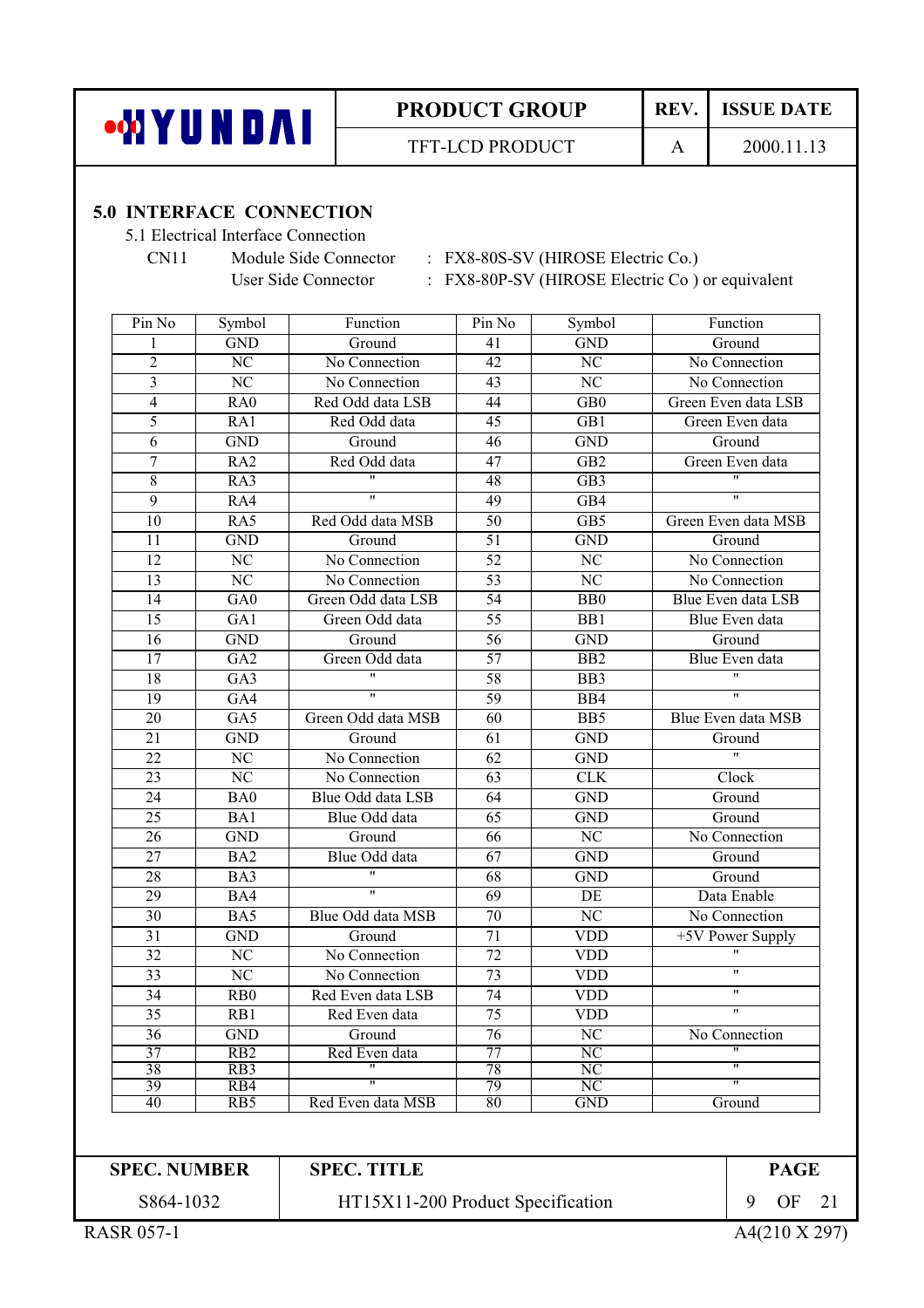

REV. **ISSUE DATE** 

2000.11.13

 $\mathbf{A}$ 

#### **5.0 INTERFACE CONNECTION**

5.1 Electrical Interface Connection

 $CN11$ 

Module Side Connector : FX8-80S-SV (HIROSE Electric Co.)

User Side Connector : FX8-80P-SV (HIROSE Electric Co ) or equivalent

| Pin No          | Symbol                                     | Function                | Pin No          | Symbol                               | Function                |  |  |
|-----------------|--------------------------------------------|-------------------------|-----------------|--------------------------------------|-------------------------|--|--|
| 1               | <b>GND</b>                                 | Ground                  | 41              | <b>GND</b>                           | Ground                  |  |  |
| $\overline{2}$  | $\overline{\text{NC}}$                     | No Connection           | $\overline{42}$ | $\overline{\text{NC}}$               | No Connection           |  |  |
| $\overline{3}$  | $\overline{\text{NC}}$                     | No Connection           | 43              | NC                                   | No Connection           |  |  |
| $\overline{4}$  | RAO                                        | Red Odd data LSB        | 44              | $\overline{GB0}$                     | Green Even data LSB     |  |  |
| 5               | R <sub>A1</sub>                            | Red Odd data            | 45              | $\overline{GB1}$                     | Green Even data         |  |  |
| 6               | <b>GND</b>                                 | Ground                  | 46              | <b>GND</b>                           | Ground                  |  |  |
| $\sqrt{ }$      | RA <sub>2</sub>                            | Red Odd data            | 47              | GB <sub>2</sub>                      | Green Even data         |  |  |
| $\overline{8}$  | R <sub>A3</sub>                            | $\overline{\mathbf{u}}$ | $\overline{48}$ | $\overline{GB3}$                     | $\overline{''}$         |  |  |
| 9               | R <sub>A4</sub>                            | $\pmb{\mathsf{H}}$      | 49              | $\overline{GB4}$                     |                         |  |  |
| $\overline{10}$ | R <sub>A5</sub>                            | Red Odd data MSB        | $\overline{50}$ | GB5                                  | Green Even data MSB     |  |  |
| 11              | <b>GND</b>                                 | Ground                  | 51              | <b>GND</b>                           | Ground                  |  |  |
| $\overline{12}$ | $\overline{\text{NC}}$                     | No Connection           | $\overline{52}$ | $\overline{\text{NC}}$               | No Connection           |  |  |
| 13              | $\overline{\text{NC}}$                     | No Connection           | 53              | $\overline{\text{NC}}$               | No Connection           |  |  |
| $\overline{14}$ | $\overline{GA0}$                           | Green Odd data LSB      | $\overline{54}$ | B <sub>B</sub>                       | Blue Even data LSB      |  |  |
| $\overline{15}$ | GA1                                        | Green Odd data          | $\overline{55}$ | B <sub>B1</sub>                      | Blue Even data          |  |  |
| $\overline{16}$ | <b>GND</b>                                 | Ground                  | $\overline{56}$ | <b>GND</b>                           | Ground                  |  |  |
| 17              | $\overline{GA2}$                           | Green Odd data          | $\overline{57}$ | $\overline{BB2}$                     | <b>Blue Even data</b>   |  |  |
| $\overline{18}$ | $\overline{GA3}$                           | $\overline{ }$          | 58              | $\overline{BB3}$                     |                         |  |  |
| 19              | GA4                                        | $\overline{\mathbf{u}}$ | 59              | B <sub>B4</sub>                      | $\overline{ }$          |  |  |
| $\overline{20}$ | $G_A5$                                     | Green Odd data MSB      | 60              | $\overline{BB5}$                     | Blue Even data MSB      |  |  |
| $\overline{21}$ | <b>GND</b>                                 | Ground                  | $\overline{61}$ | <b>GND</b>                           | Ground                  |  |  |
| $\overline{22}$ | $\overline{\text{NC}}$                     | No Connection           | 62              | <b>GND</b>                           | $\overline{u}$          |  |  |
| 23              | $\overline{\text{NC}}$                     | No Connection           | $\overline{63}$ | CLK                                  | Clock                   |  |  |
| 24              | BA0                                        | Blue Odd data LSB       | $\overline{64}$ | <b>GND</b>                           | Ground                  |  |  |
| $\overline{25}$ | BA1                                        | Blue Odd data           | $\overline{65}$ | <b>GND</b>                           | Ground                  |  |  |
| 26              | <b>GND</b>                                 | Ground                  | 66              | $\overline{\text{NC}}$               | No Connection           |  |  |
| 27              | BA <sub>2</sub>                            | Blue Odd data           | 67              | <b>GND</b>                           | Ground                  |  |  |
| $\overline{28}$ | BA3                                        | $\overline{\mathbf{u}}$ | $\overline{68}$ | <b>GND</b>                           | Ground                  |  |  |
| $\overline{29}$ | BA4                                        | $\overline{\mathbf{u}}$ | 69              | DE                                   | Data Enable             |  |  |
| $\overline{30}$ | BA5                                        | Blue Odd data MSB       | 70              | $\overline{\text{NC}}$               | No Connection           |  |  |
| $\overline{31}$ | <b>GND</b>                                 | Ground                  | 71              | <b>VDD</b>                           | +5V Power Supply        |  |  |
| $\overline{32}$ | $\overline{\text{NC}}$                     | No Connection           | 72              | <b>VDD</b>                           | $\pmb{\mathsf{H}}$      |  |  |
| $\overline{33}$ | $\overline{\text{NC}}$                     | No Connection           | 73              | <b>VDD</b>                           | $\overline{\mathbf{u}}$ |  |  |
| 34              | $\overline{R}$ <sub>R</sub> B <sub>0</sub> | Red Even data LSB       | 74              | <b>VDD</b>                           | $\pmb{\mathsf{H}}$      |  |  |
| 35              | RB1                                        | Red Even data           | 75              | <b>VDD</b>                           | $\overline{\mathbf{u}}$ |  |  |
| 36              | <b>GND</b>                                 | Ground                  | $\overline{76}$ | $\overline{\text{NC}}$               | No Connection           |  |  |
| 37              | RB2                                        | Red Even data           | 77              | N <sub>C</sub>                       |                         |  |  |
| 38              | RB <sub>3</sub>                            |                         | 78<br>79        | <b>NC</b>                            | π                       |  |  |
| 39<br>40        | R <sub>B4</sub><br>R <sub>B5</sub>         | Red Even data MSB       | 80              | $\overline{\text{NC}}$<br><b>GND</b> | Ground                  |  |  |
|                 |                                            |                         |                 |                                      |                         |  |  |

**SPEC. NUMBER** 

**SPEC. TITLE** 

**PAGE** 9 OF 21

S864-1032

A4(210 X 297)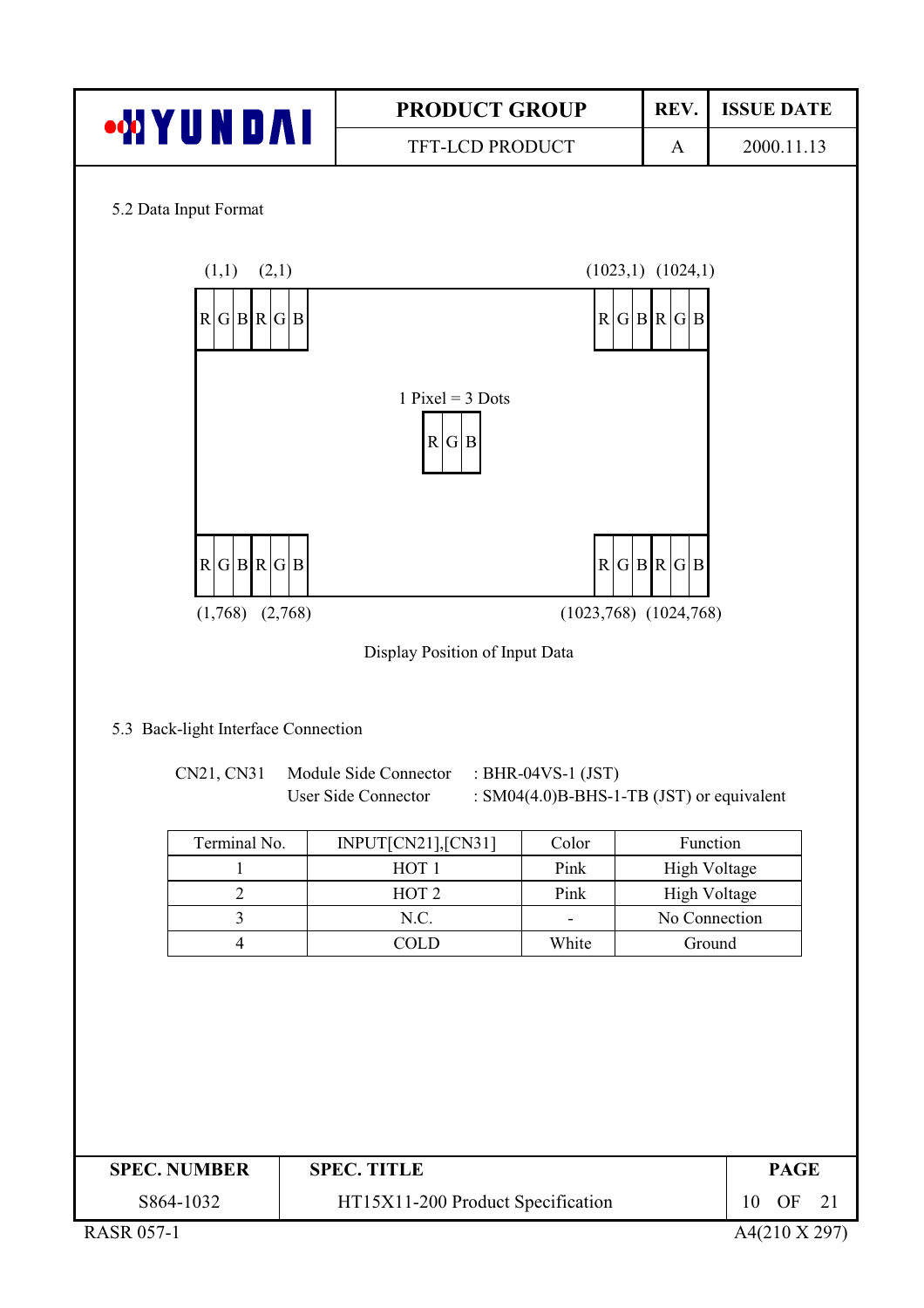

| <b>SPEC. NUMBER</b> | <b>SPEC. TITLE</b>                |    | <b>PAGE</b> |  |
|---------------------|-----------------------------------|----|-------------|--|
| S864-1032           | HT15X11-200 Product Specification | 10 | OF          |  |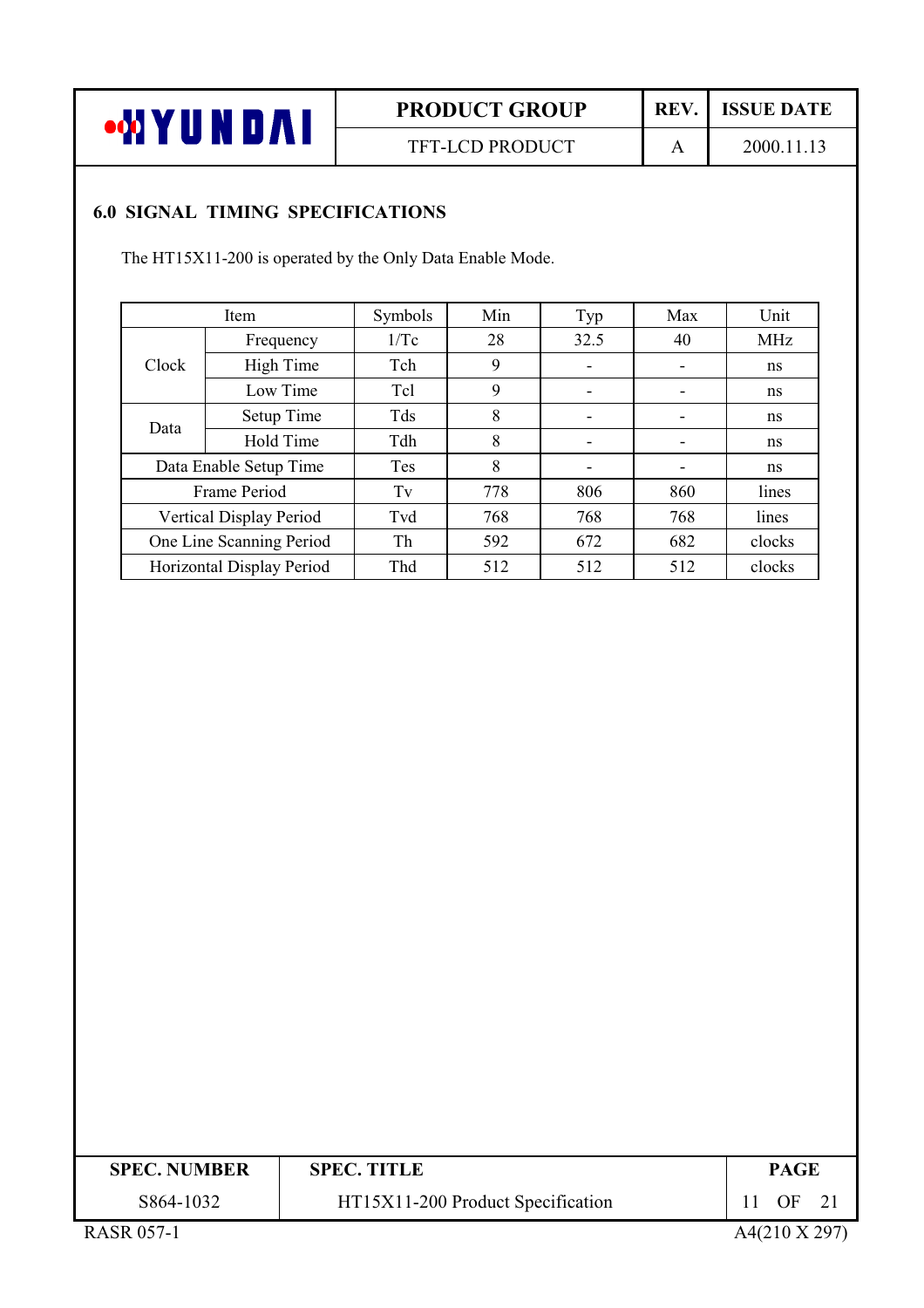

TFT-LCD PRODUCT

REV.  $\mathbf{A}$ 

2000.11.13

**ISSUE DATE** 

### **6.0 SIGNAL TIMING SPECIFICATIONS**

The HT15X11-200 is operated by the Only Data Enable Mode.

| Item       | Symbols                                                                                                                    | Min | Typ  | Max | Unit       |
|------------|----------------------------------------------------------------------------------------------------------------------------|-----|------|-----|------------|
| Frequency  | 1/Tc                                                                                                                       | 28  | 32.5 | 40  | <b>MHz</b> |
| High Time  | Tch                                                                                                                        | 9   | -    |     | ns         |
| Low Time   | Tcl                                                                                                                        | 9   |      |     | ns         |
| Setup Time | Tds                                                                                                                        | 8   | -    | -   | ns         |
| Hold Time  | Tdh                                                                                                                        | 8   |      |     | ns         |
|            | <b>Tes</b>                                                                                                                 | 8   |      |     | ns         |
|            | Tv                                                                                                                         | 778 | 806  | 860 | lines      |
|            | Tvd                                                                                                                        | 768 | 768  | 768 | lines      |
|            | Th                                                                                                                         | 592 | 672  | 682 | clocks     |
|            | Thd                                                                                                                        | 512 | 512  | 512 | clocks     |
|            | Data Enable Setup Time<br>Frame Period<br>Vertical Display Period<br>One Line Scanning Period<br>Horizontal Display Period |     |      |     |            |

| <b>SPEC. NUMBER</b>                                                                                                                                                                                                                                                                              | <b>SPEC. TITLE</b>                | PAGE |
|--------------------------------------------------------------------------------------------------------------------------------------------------------------------------------------------------------------------------------------------------------------------------------------------------|-----------------------------------|------|
| S864-1032                                                                                                                                                                                                                                                                                        | HT15X11-200 Product Specification | OF   |
| $P_{1}$ $\wedge$ $P_{2}$ $\wedge$ $P_{3}$ $\wedge$ $P_{4}$ $\wedge$ $P_{5}$ $\wedge$ $P_{6}$ $\wedge$ $P_{7}$ $\wedge$ $P_{8}$ $\wedge$ $P_{9}$ $\wedge$ $P_{1}$ $\wedge$ $P_{1}$ $\wedge$ $P_{2}$ $\wedge$ $P_{3}$ $\wedge$ $P_{4}$ $\wedge$ $P_{5}$ $\wedge$ $P_{6}$ $\wedge$ $P_{7}$ $\wedge$ |                                   |      |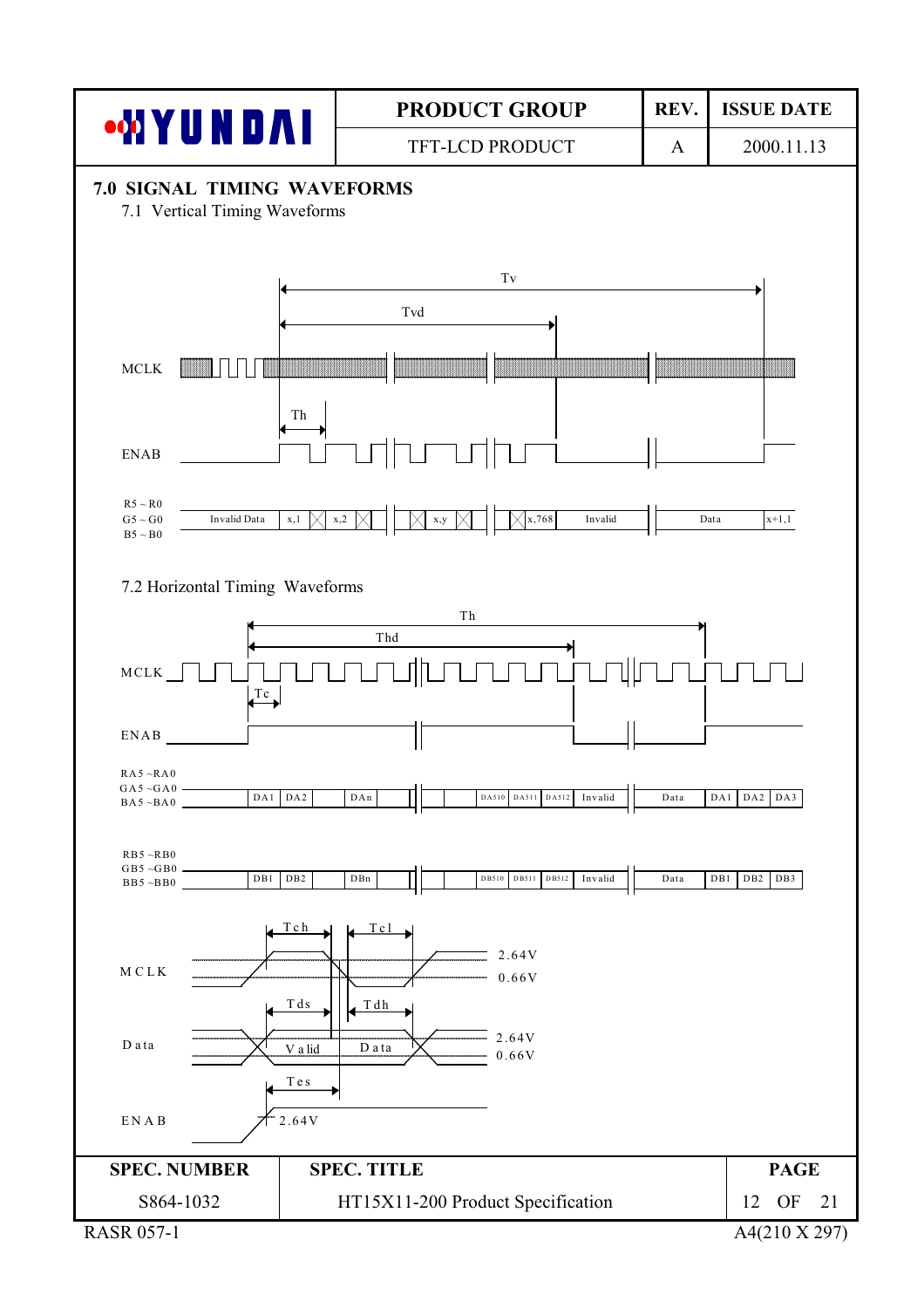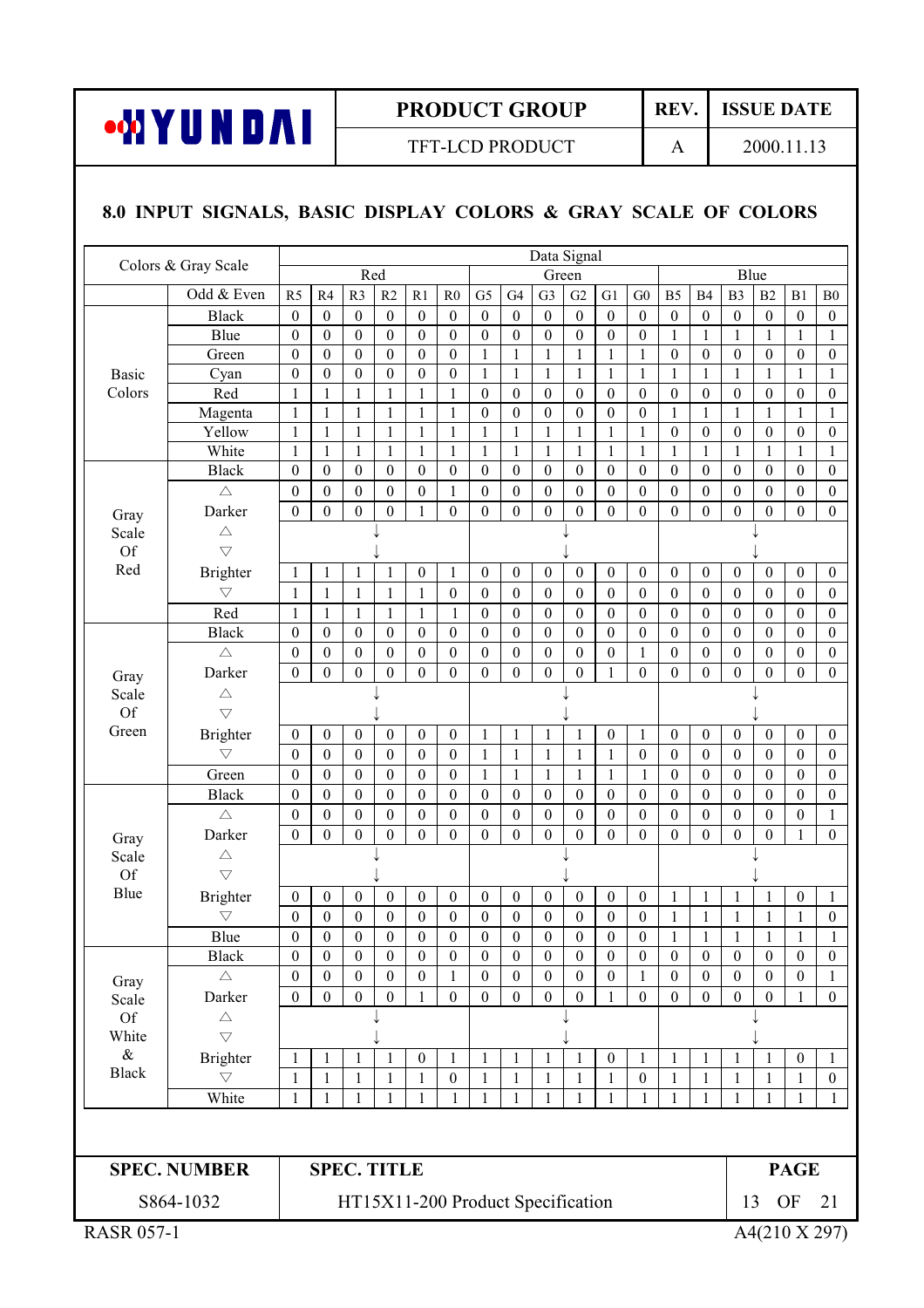

REV. **ISSUE DATE** 

 $\mathbf{A}$ 

TFT-LCD PRODUCT

2000.11.13

#### 8.0 INPUT SIGNALS, BASIC DISPLAY COLORS & GRAY SCALE OF COLORS

| Colors & Gray Scale |                                       |                                      |                                      |                                      |                                      |                                      |                                      |                                      | Data Signal                          |                                      |                                      |                                      |                                      |                                      |                                      |                                      |                                      |                                      |                                      |
|---------------------|---------------------------------------|--------------------------------------|--------------------------------------|--------------------------------------|--------------------------------------|--------------------------------------|--------------------------------------|--------------------------------------|--------------------------------------|--------------------------------------|--------------------------------------|--------------------------------------|--------------------------------------|--------------------------------------|--------------------------------------|--------------------------------------|--------------------------------------|--------------------------------------|--------------------------------------|
|                     |                                       |                                      |                                      | Red                                  |                                      |                                      |                                      |                                      |                                      | Green                                |                                      |                                      |                                      |                                      |                                      | Blue                                 |                                      |                                      |                                      |
|                     | Odd & Even                            | R <sub>5</sub>                       | R4                                   | R <sub>3</sub>                       | R2                                   | R1                                   | R <sub>0</sub>                       | G <sub>5</sub>                       | G <sub>4</sub>                       | G <sub>3</sub>                       | G2                                   | G1                                   | ${\rm G0}$                           | B <sub>5</sub>                       | B <sub>4</sub>                       | B <sub>3</sub>                       | B <sub>2</sub>                       | B1                                   | ${\bf B0}$                           |
|                     | <b>Black</b>                          | $\boldsymbol{0}$                     | $\boldsymbol{0}$                     | $\mathbf{0}$                         | $\boldsymbol{0}$                     | $\boldsymbol{0}$                     | $\boldsymbol{0}$                     | $\boldsymbol{0}$                     | $\boldsymbol{0}$                     | $\boldsymbol{0}$                     | $\boldsymbol{0}$                     | $\boldsymbol{0}$                     | $\boldsymbol{0}$                     | $\boldsymbol{0}$                     | $\boldsymbol{0}$                     | $\boldsymbol{0}$                     | $\boldsymbol{0}$                     | $\boldsymbol{0}$                     | $\boldsymbol{0}$                     |
|                     | Blue                                  | $\boldsymbol{0}$                     | $\boldsymbol{0}$                     | $\boldsymbol{0}$                     | $\boldsymbol{0}$                     | $\boldsymbol{0}$                     | $\boldsymbol{0}$                     | $\boldsymbol{0}$                     | $\boldsymbol{0}$                     | $\boldsymbol{0}$                     | $\boldsymbol{0}$                     | $\boldsymbol{0}$                     | $\boldsymbol{0}$                     | $\mathbf{1}$                         | 1                                    | 1                                    | 1                                    | 1                                    | 1                                    |
|                     | Green                                 | $\boldsymbol{0}$                     | $\boldsymbol{0}$                     | $\boldsymbol{0}$                     | $\boldsymbol{0}$                     | $\boldsymbol{0}$                     | $\boldsymbol{0}$                     | 1                                    | 1                                    | $\mathbf{1}$                         | $\mathbf{1}$                         | $\mathbf{1}$                         | $\mathbf 1$                          | $\boldsymbol{0}$                     | $\mathbf{0}$                         | $\mathbf{0}$                         | $\boldsymbol{0}$                     | $\boldsymbol{0}$                     | $\boldsymbol{0}$                     |
| <b>Basic</b>        | Cyan                                  | $\boldsymbol{0}$                     | $\boldsymbol{0}$                     | $\boldsymbol{0}$                     | $\boldsymbol{0}$                     | $\boldsymbol{0}$                     | $\boldsymbol{0}$                     | 1                                    | 1                                    | $\mathbf{1}$                         | $\mathbf{1}$                         | $\mathbf{1}$                         | $\mathbf{1}$                         | 1                                    | $\mathbf{1}$                         | $\mathbf{1}$                         | $\mathbf{1}$                         | $\mathbf{1}$                         | 1                                    |
| Colors              | Red                                   | $\mathbf{1}$                         | 1                                    | $\mathbf{1}$                         | $\mathbf{1}$                         | $\mathbf{1}$                         | 1                                    | $\boldsymbol{0}$                     | $\boldsymbol{0}$                     | $\boldsymbol{0}$                     | $\boldsymbol{0}$                     | $\boldsymbol{0}$                     | $\boldsymbol{0}$                     | $\boldsymbol{0}$                     | $\boldsymbol{0}$                     | $\boldsymbol{0}$                     | $\boldsymbol{0}$                     | $\boldsymbol{0}$                     | $\boldsymbol{0}$                     |
|                     | Magenta                               | $\mathbf{1}$                         | $\mathbf{1}$                         | 1                                    | 1                                    | 1                                    | 1                                    | $\boldsymbol{0}$                     | $\boldsymbol{0}$                     | $\boldsymbol{0}$                     | $\boldsymbol{0}$                     | $\boldsymbol{0}$                     | $\boldsymbol{0}$                     | 1                                    | $\mathbf{1}$                         | $\mathbf{1}$                         | $\mathbf{1}$                         | $\mathbf{1}$                         | 1                                    |
|                     | Yellow<br>White                       | $\mathbf{1}$<br>$\mathbf{1}$         | $\mathbf{1}$<br>$\mathbf{1}$         | 1<br>1                               | 1<br>$\mathbf{1}$                    | 1<br>$\mathbf{1}$                    | $\mathbf{1}$<br>1                    | $\mathbf{1}$<br>1                    | 1<br>1                               | $\mathbf{1}$<br>$\mathbf{1}$         | $\mathbf{1}$<br>1                    | $\mathbf{1}$<br>1                    | $\,1\,$<br>1                         | $\boldsymbol{0}$<br>$\mathbf{1}$     | $\boldsymbol{0}$<br>1                | $\boldsymbol{0}$<br>1                | $\boldsymbol{0}$<br>1                | $\boldsymbol{0}$<br>1                | $\boldsymbol{0}$<br>1                |
|                     | <b>Black</b>                          | $\boldsymbol{0}$                     | $\boldsymbol{0}$                     | $\boldsymbol{0}$                     | $\boldsymbol{0}$                     | $\boldsymbol{0}$                     | $\boldsymbol{0}$                     | $\boldsymbol{0}$                     | $\boldsymbol{0}$                     | $\boldsymbol{0}$                     | $\boldsymbol{0}$                     | $\boldsymbol{0}$                     | $\boldsymbol{0}$                     | $\boldsymbol{0}$                     | $\boldsymbol{0}$                     | $\boldsymbol{0}$                     | $\boldsymbol{0}$                     | $\boldsymbol{0}$                     | $\boldsymbol{0}$                     |
|                     | $\triangle$                           | $\boldsymbol{0}$                     | $\boldsymbol{0}$                     | $\boldsymbol{0}$                     | $\boldsymbol{0}$                     | $\boldsymbol{0}$                     |                                      | $\boldsymbol{0}$                     | $\boldsymbol{0}$                     | $\boldsymbol{0}$                     | $\boldsymbol{0}$                     | $\boldsymbol{0}$                     | $\boldsymbol{0}$                     | $\boldsymbol{0}$                     | $\boldsymbol{0}$                     | $\boldsymbol{0}$                     | $\boldsymbol{0}$                     | $\boldsymbol{0}$                     | $\boldsymbol{0}$                     |
|                     | Darker                                | $\boldsymbol{0}$                     | $\mathbf{0}$                         | $\mathbf{0}$                         | $\mathbf{0}$                         | $\mathbf{1}$                         | $\mathbf{1}$<br>$\overline{0}$       | $\boldsymbol{0}$                     | $\mathbf{0}$                         | $\boldsymbol{0}$                     | $\boldsymbol{0}$                     | $\boldsymbol{0}$                     | $\mathbf{0}$                         |                                      | $\boldsymbol{0}$                     | $\mathbf{0}$                         | $\boldsymbol{0}$                     | $\boldsymbol{0}$                     | $\boldsymbol{0}$                     |
| Gray                |                                       |                                      |                                      |                                      |                                      |                                      |                                      |                                      |                                      |                                      |                                      |                                      |                                      | $\boldsymbol{0}$                     |                                      |                                      |                                      |                                      |                                      |
| Scale<br>Of         | $\triangle$<br>$\bigtriangledown$     |                                      |                                      |                                      |                                      |                                      |                                      |                                      |                                      |                                      |                                      |                                      |                                      |                                      |                                      |                                      |                                      |                                      |                                      |
| Red                 |                                       |                                      |                                      |                                      |                                      |                                      |                                      |                                      |                                      |                                      |                                      |                                      |                                      |                                      |                                      |                                      |                                      |                                      |                                      |
|                     | <b>Brighter</b><br>$\bigtriangledown$ | 1                                    | 1                                    | 1                                    | 1                                    | $\boldsymbol{0}$                     | 1                                    | $\boldsymbol{0}$                     | $\boldsymbol{0}$                     | $\boldsymbol{0}$                     | $\boldsymbol{0}$                     | $\boldsymbol{0}$                     | $\boldsymbol{0}$                     | $\mathbf{0}$                         | $\theta$                             | $\boldsymbol{0}$                     | $\theta$                             | $\boldsymbol{0}$                     | $\boldsymbol{0}$                     |
|                     |                                       | $\mathbf{1}$                         | $\mathbf{1}$                         | $\mathbf{1}$                         | $\mathbf{1}$                         | $\mathbf{1}$                         | $\overline{0}$                       | $\mathbf{0}$                         | $\mathbf{0}$                         | $\boldsymbol{0}$                     | $\boldsymbol{0}$                     | $\mathbf{0}$                         | $\mathbf{0}$                         | $\boldsymbol{0}$                     | $\boldsymbol{0}$                     | $\boldsymbol{0}$                     | $\mathbf{0}$                         | $\boldsymbol{0}$                     | $\boldsymbol{0}$                     |
|                     | Red<br><b>Black</b>                   | $\mathbf{1}$<br>$\mathbf{0}$         | $\mathbf{1}$<br>$\boldsymbol{0}$     | $\mathbf{1}$<br>$\mathbf{0}$         | $\mathbf{1}$<br>$\boldsymbol{0}$     | $\mathbf{1}$<br>$\boldsymbol{0}$     | $\mathbf{1}$<br>$\boldsymbol{0}$     | $\boldsymbol{0}$<br>$\mathbf{0}$     | $\boldsymbol{0}$<br>$\mathbf{0}$     | $\boldsymbol{0}$<br>$\boldsymbol{0}$ | $\boldsymbol{0}$<br>$\boldsymbol{0}$ | $\boldsymbol{0}$<br>$\boldsymbol{0}$ | $\boldsymbol{0}$<br>$\boldsymbol{0}$ | $\boldsymbol{0}$<br>$\boldsymbol{0}$ | $\boldsymbol{0}$<br>$\boldsymbol{0}$ | $\boldsymbol{0}$<br>$\boldsymbol{0}$ | $\boldsymbol{0}$<br>$\boldsymbol{0}$ | $\boldsymbol{0}$<br>$\mathbf{0}$     | $\boldsymbol{0}$<br>$\boldsymbol{0}$ |
|                     |                                       |                                      | $\boldsymbol{0}$                     | $\boldsymbol{0}$                     |                                      | $\boldsymbol{0}$                     | $\overline{0}$                       | $\boldsymbol{0}$                     |                                      |                                      | $\boldsymbol{0}$                     | $\boldsymbol{0}$                     |                                      |                                      |                                      |                                      |                                      |                                      |                                      |
|                     | $\triangle$<br>Darker                 | $\boldsymbol{0}$                     |                                      | $\boldsymbol{0}$                     | $\boldsymbol{0}$                     |                                      |                                      | $\boldsymbol{0}$                     | $\boldsymbol{0}$<br>$\boldsymbol{0}$ | $\boldsymbol{0}$                     |                                      |                                      | $\mathbf{1}$<br>$\boldsymbol{0}$     | $\boldsymbol{0}$                     | $\boldsymbol{0}$                     | $\theta$                             | $\boldsymbol{0}$                     | $\boldsymbol{0}$                     | $\boldsymbol{0}$                     |
| Gray                |                                       | $\boldsymbol{0}$                     | $\boldsymbol{0}$                     |                                      | $\boldsymbol{0}$                     | $\boldsymbol{0}$                     | $\boldsymbol{0}$                     |                                      |                                      | $\boldsymbol{0}$                     | $\boldsymbol{0}$                     | 1                                    |                                      | $\boldsymbol{0}$                     | $\boldsymbol{0}$                     | $\theta$                             | $\boldsymbol{0}$                     | $\theta$                             | $\boldsymbol{0}$                     |
| Scale<br>Of         | $\triangle$<br>$\bigtriangledown$     |                                      |                                      |                                      |                                      |                                      |                                      |                                      |                                      |                                      |                                      |                                      |                                      |                                      |                                      |                                      |                                      |                                      |                                      |
| Green               |                                       |                                      |                                      |                                      |                                      |                                      |                                      |                                      |                                      |                                      |                                      |                                      |                                      |                                      |                                      |                                      |                                      |                                      |                                      |
|                     | <b>Brighter</b><br>$\bigtriangledown$ | $\boldsymbol{0}$                     | $\boldsymbol{0}$                     | $\boldsymbol{0}$                     | $\boldsymbol{0}$                     | $\boldsymbol{0}$                     | $\boldsymbol{0}$                     | $\mathbf{1}$                         | 1                                    | $\mathbf{1}$                         | 1                                    | $\boldsymbol{0}$                     | $\mathbf{1}$                         | $\boldsymbol{0}$                     | $\boldsymbol{0}$                     | $\boldsymbol{0}$                     | $\boldsymbol{0}$                     | $\boldsymbol{0}$                     | $\boldsymbol{0}$                     |
|                     |                                       | $\boldsymbol{0}$                     | $\boldsymbol{0}$                     | $\boldsymbol{0}$                     | $\boldsymbol{0}$                     | $\boldsymbol{0}$                     | $\boldsymbol{0}$                     | $\mathbf{1}$                         | $\mathbf{1}$                         | $\mathbf{1}$                         | $\mathbf{1}$                         | $\mathbf{1}$                         | $\boldsymbol{0}$                     | $\boldsymbol{0}$                     | $\boldsymbol{0}$                     | $\boldsymbol{0}$                     | $\boldsymbol{0}$                     | $\boldsymbol{0}$                     | $\boldsymbol{0}$                     |
|                     | Green                                 | $\boldsymbol{0}$                     | $\boldsymbol{0}$                     | $\mathbf{0}$                         | $\boldsymbol{0}$                     | $\boldsymbol{0}$                     | $\boldsymbol{0}$                     | $\mathbf{1}$                         | 1                                    | $\mathbf{1}$                         | 1                                    | 1<br>$\boldsymbol{0}$                | $\mathbf{1}$                         | $\boldsymbol{0}$                     | $\boldsymbol{0}$                     | $\theta$                             | $\boldsymbol{0}$                     | $\boldsymbol{0}$                     | $\boldsymbol{0}$                     |
|                     | <b>Black</b>                          | $\mathbf{0}$                         | $\boldsymbol{0}$                     | $\boldsymbol{0}$<br>$\boldsymbol{0}$ | $\boldsymbol{0}$                     | $\boldsymbol{0}$<br>$\boldsymbol{0}$ | $\boldsymbol{0}$                     | $\boldsymbol{0}$                     | $\boldsymbol{0}$                     | $\boldsymbol{0}$                     | $\boldsymbol{0}$                     |                                      | $\boldsymbol{0}$<br>$\boldsymbol{0}$ | $\boldsymbol{0}$                     | $\boldsymbol{0}$                     | $\theta$                             | $\theta$                             | $\theta$                             | 0                                    |
|                     | $\triangle$                           | $\boldsymbol{0}$                     | $\boldsymbol{0}$                     |                                      | $\boldsymbol{0}$                     |                                      | $\boldsymbol{0}$<br>$\overline{0}$   | $\boldsymbol{0}$<br>$\mathbf{0}$     | $\boldsymbol{0}$                     | $\boldsymbol{0}$                     | $\boldsymbol{0}$                     | $\boldsymbol{0}$                     | $\boldsymbol{0}$                     | $\boldsymbol{0}$                     | $\boldsymbol{0}$                     | $\boldsymbol{0}$                     | $\boldsymbol{0}$                     | $\boldsymbol{0}$<br>1                | 1                                    |
| Gray                | Darker                                | $\boldsymbol{0}$                     | $\boldsymbol{0}$                     | $\mathbf{0}$                         | $\theta$                             | $\boldsymbol{0}$                     |                                      |                                      | $\overline{0}$                       | $\boldsymbol{0}$                     | $\boldsymbol{0}$                     | $\overline{0}$                       |                                      | $\boldsymbol{0}$                     | $\boldsymbol{0}$                     | $\overline{0}$                       | $\boldsymbol{0}$                     |                                      | $\boldsymbol{0}$                     |
| Scale<br>Of         | $\triangle$                           |                                      |                                      |                                      |                                      |                                      |                                      |                                      |                                      |                                      |                                      |                                      |                                      |                                      |                                      |                                      |                                      |                                      |                                      |
| Blue                | $\bigtriangledown$                    |                                      |                                      |                                      |                                      |                                      |                                      |                                      |                                      |                                      |                                      |                                      |                                      |                                      |                                      |                                      |                                      |                                      |                                      |
|                     | <b>Brighter</b>                       | $\boldsymbol{0}$                     | $\boldsymbol{0}$                     | $\boldsymbol{0}$                     | $\boldsymbol{0}$                     | $\boldsymbol{0}$                     | $\boldsymbol{0}$                     | $\boldsymbol{0}$                     | $\boldsymbol{0}$                     | $\boldsymbol{0}$                     | $\boldsymbol{0}$                     | $\boldsymbol{0}$                     | $\boldsymbol{0}$                     | $\mathbf{1}$                         | $\mathbf{1}$                         | 1                                    | 1                                    | $\boldsymbol{0}$                     | 1                                    |
|                     | $\bigtriangledown$                    | $\boldsymbol{0}$                     | $\boldsymbol{0}$                     | $\boldsymbol{0}$                     | $\boldsymbol{0}$                     | $\boldsymbol{0}$                     | $\boldsymbol{0}$                     | $\boldsymbol{0}$                     | $\boldsymbol{0}$                     | 0                                    | $\boldsymbol{0}$                     | $\boldsymbol{0}$                     | $\boldsymbol{0}$                     | $\mathbf{1}$                         | $\mathbf{1}$                         | 1                                    | 1                                    | 1<br>1                               | $\boldsymbol{0}$<br>$\mathbf{1}$     |
|                     | Blue                                  | $\boldsymbol{0}$<br>$\boldsymbol{0}$ | $\boldsymbol{0}$                     | $\boldsymbol{0}$<br>$\boldsymbol{0}$ | $\boldsymbol{0}$                     | $\boldsymbol{0}$<br>$\boldsymbol{0}$ | $\boldsymbol{0}$<br>$\boldsymbol{0}$ | $\boldsymbol{0}$<br>$\boldsymbol{0}$ | $\boldsymbol{0}$<br>$\boldsymbol{0}$ | $\boldsymbol{0}$<br>$\boldsymbol{0}$ | $\boldsymbol{0}$<br>$\boldsymbol{0}$ | $\boldsymbol{0}$<br>$\boldsymbol{0}$ | $\boldsymbol{0}$<br>$\boldsymbol{0}$ | $\mathbf{1}$<br>$\boldsymbol{0}$     | $\,1\,$                              | $\mathbf{1}$<br>$\boldsymbol{0}$     | $\mathbf{1}$<br>$\boldsymbol{0}$     |                                      | $\boldsymbol{0}$                     |
|                     | <b>Black</b><br>$\triangle$           | $\boldsymbol{0}$                     | $\boldsymbol{0}$<br>$\boldsymbol{0}$ | $\boldsymbol{0}$                     | $\boldsymbol{0}$<br>$\boldsymbol{0}$ | $\boldsymbol{0}$                     |                                      | $\boldsymbol{0}$                     | $\boldsymbol{0}$                     | $\boldsymbol{0}$                     | $\boldsymbol{0}$                     | $\boldsymbol{0}$                     |                                      | $\boldsymbol{0}$                     | $\boldsymbol{0}$                     | $\theta$                             | $\boldsymbol{0}$                     | $\boldsymbol{0}$<br>$\boldsymbol{0}$ |                                      |
| Gray                | Darker                                | $\boldsymbol{0}$                     | $\boldsymbol{0}$                     | $\boldsymbol{0}$                     |                                      | 1                                    | $\mathbf{1}$<br>$\boldsymbol{0}$     | $\boldsymbol{0}$                     | $\boldsymbol{0}$                     | $\boldsymbol{0}$                     | $\boldsymbol{0}$                     |                                      | $\mathbf{1}$<br>$\boldsymbol{0}$     | $\boldsymbol{0}$                     | $\boldsymbol{0}$<br>$\boldsymbol{0}$ | $\boldsymbol{0}$                     | $\boldsymbol{0}$                     |                                      | 1                                    |
| Scale               | $\triangle$                           |                                      |                                      |                                      | $\boldsymbol{0}$                     |                                      |                                      |                                      |                                      |                                      |                                      | 1                                    |                                      |                                      |                                      |                                      |                                      | 1                                    | $\boldsymbol{0}$                     |
| Of<br>White         | $\bigtriangledown$                    |                                      |                                      |                                      |                                      |                                      |                                      |                                      |                                      |                                      |                                      |                                      |                                      |                                      |                                      |                                      |                                      |                                      |                                      |
| $\&$                |                                       |                                      |                                      |                                      |                                      | $\boldsymbol{0}$                     |                                      |                                      |                                      |                                      |                                      | $\boldsymbol{0}$                     |                                      |                                      |                                      |                                      |                                      |                                      |                                      |
| <b>Black</b>        | Brighter<br>$\bigtriangledown$        | 1                                    | 1                                    | 1                                    | 1                                    |                                      | $\mathbf{1}$<br>$\boldsymbol{0}$     | $\mathbf{1}$                         | 1<br>$\mathbf{1}$                    | 1                                    | $\mathbf{1}$                         |                                      | $\mathbf{1}$<br>$\boldsymbol{0}$     | 1                                    | 1                                    | 1                                    | $\mathbf{1}$                         | $\boldsymbol{0}$<br>$\mathbf{1}$     | 1                                    |
|                     | White                                 | $\mathbf{1}$<br>$\mathbf{1}$         | $\mathbf{1}$<br>$\mathbf{1}$         | $\mathbf{1}$<br>$\mathbf{1}$         | $\mathbf{1}$<br>1                    | $\mathbf{1}$<br>$\mathbf{1}$         | 1                                    | $\mathbf{1}$<br>1                    | 1                                    | $\mathbf{1}$<br>1                    | $\mathbf{1}$<br>1                    | $\mathbf{1}$<br>1                    | $\mathbf{1}$                         | $\mathbf{1}$<br>$\mathbf{1}$         | $\mathbf{1}$<br>$\mathbf{1}$         | $\mathbf{1}$<br>$\mathbf{1}$         | $\mathbf{1}$<br>$\mathbf{1}$         | $\mathbf{1}$                         | $\boldsymbol{0}$<br>$\mathbf{1}$     |
|                     |                                       |                                      |                                      |                                      |                                      |                                      |                                      |                                      |                                      |                                      |                                      |                                      |                                      |                                      |                                      |                                      |                                      |                                      |                                      |
|                     |                                       |                                      |                                      |                                      |                                      |                                      |                                      |                                      |                                      |                                      |                                      |                                      |                                      |                                      |                                      |                                      |                                      |                                      |                                      |
|                     | <b>SPEC. NUMBER</b>                   |                                      | <b>SPEC. TITLE</b>                   |                                      |                                      |                                      |                                      |                                      |                                      |                                      |                                      |                                      |                                      |                                      |                                      |                                      | <b>PAGE</b>                          |                                      |                                      |
|                     | S864-1032                             |                                      |                                      |                                      |                                      |                                      |                                      |                                      |                                      | HT15X11-200 Product Specification    |                                      |                                      |                                      |                                      |                                      | 13                                   |                                      | <b>OF</b>                            | 21                                   |
| <b>RASR 057-1</b>   |                                       |                                      |                                      |                                      |                                      |                                      |                                      |                                      |                                      |                                      |                                      |                                      |                                      |                                      |                                      |                                      |                                      | A4(210 X 297)                        |                                      |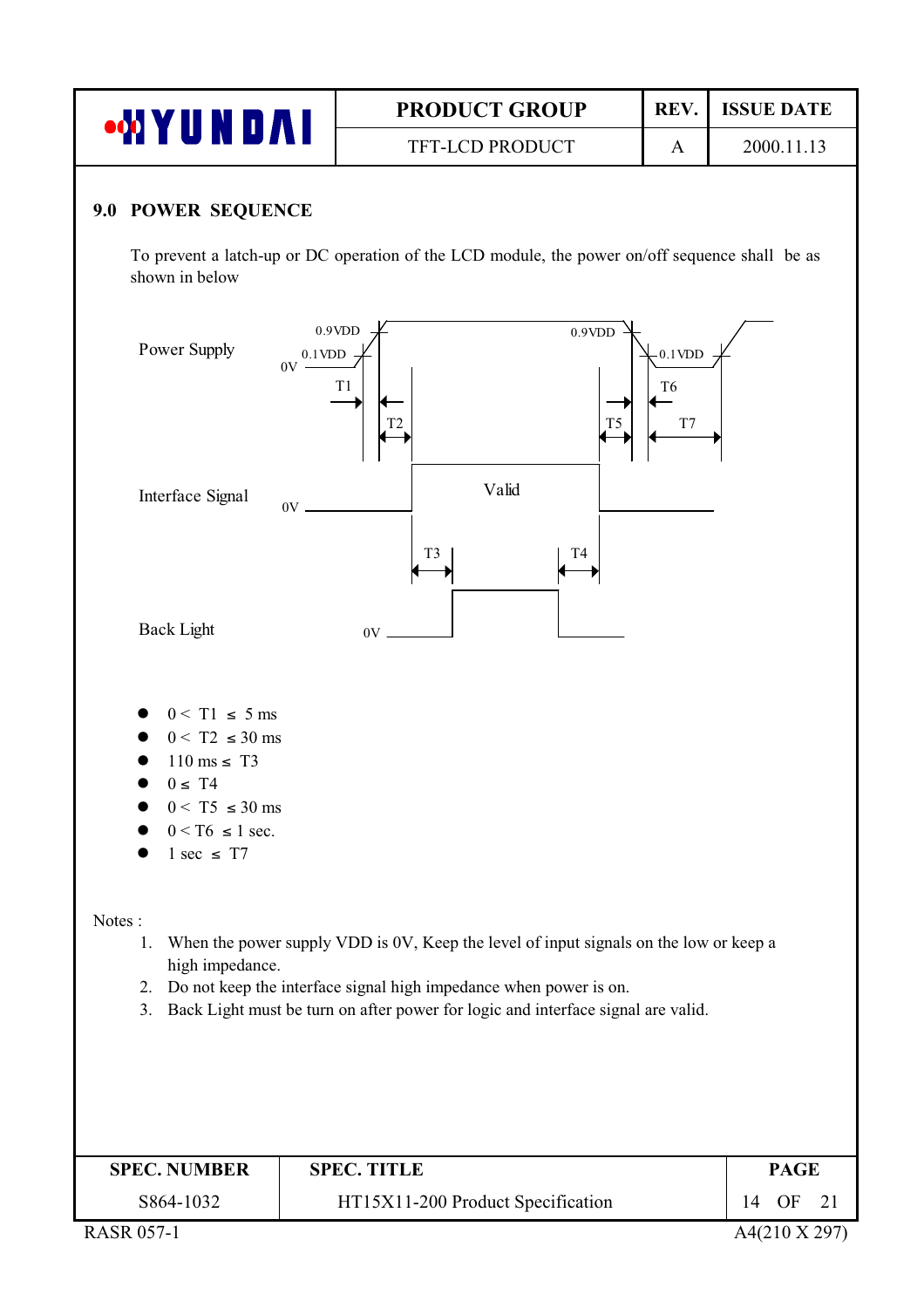| • <b>MYUNDAI</b>                                                                                                    | <b>PRODUCT GROUP</b>   | REV. | <b>ISSUE DATE</b> |  |  |  |
|---------------------------------------------------------------------------------------------------------------------|------------------------|------|-------------------|--|--|--|
|                                                                                                                     | <b>TFT-LCD PRODUCT</b> | A    | 2000.11.13        |  |  |  |
| 9.0 POWER SEQUENCE<br>To prevent a latch up or DC operation of the LCD module the power on/off sequence shall be as |                        |      |                   |  |  |  |

To prevent a latch-up or DC operation of the LCD module, the power on/off sequence shall be as shown in below



| <b>SPEC. NUMBER</b>                                 | <b>SPEC. TITLE</b>                | <b>PAGE</b> |
|-----------------------------------------------------|-----------------------------------|-------------|
| S864-1032                                           | HT15X11-200 Product Specification | 14<br>OF.   |
| $P_1$ $\cap$ $P_2$ $\cap$ $P_3$ $\cap$ $P_4$ $\cap$ |                                   |             |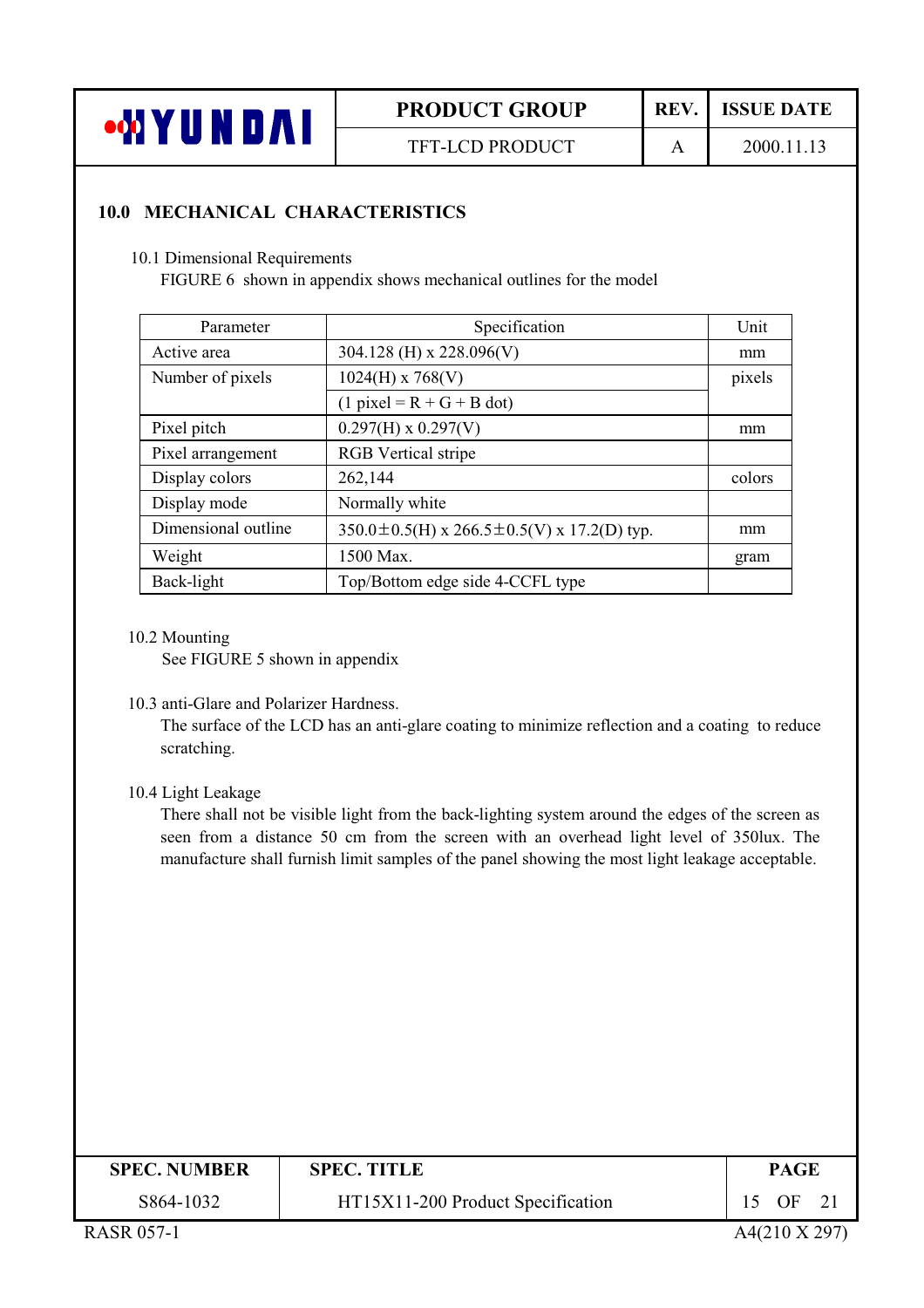

**TFT-LCD PRODUCT** 

REV. **ISSUE DATE** 

 $\overline{A}$ 

2000.11.13

#### **10.0 MECHANICAL CHARACTERISTICS**

10.1 Dimensional Requirements

FIGURE 6 shown in appendix shows mechanical outlines for the model

| Parameter           | Specification                                           | Unit   |
|---------------------|---------------------------------------------------------|--------|
| Active area         | 304.128 (H) x 228.096(V)                                | mm     |
| Number of pixels    | $1024(H)$ x 768(V)                                      | pixels |
|                     | $(1$ pixel = R + G + B dot)                             |        |
| Pixel pitch         | $0.297(H) \times 0.297(V)$                              | mm     |
| Pixel arrangement   | <b>RGB</b> Vertical stripe                              |        |
| Display colors      | 262,144                                                 | colors |
| Display mode        | Normally white                                          |        |
| Dimensional outline | $350.0 \pm 0.5$ (H) x 266.5 $\pm$ 0.5(V) x 17.2(D) typ. | mm     |
| Weight              | 1500 Max.                                               | gram   |
| Back-light          | Top/Bottom edge side 4-CCFL type                        |        |

10.2 Mounting

See FIGURE 5 shown in appendix

10.3 anti-Glare and Polarizer Hardness.

The surface of the LCD has an anti-glare coating to minimize reflection and a coating to reduce scratching.

10.4 Light Leakage

There shall not be visible light from the back-lighting system around the edges of the screen as seen from a distance 50 cm from the screen with an overhead light level of 350lux. The manufacture shall furnish limit samples of the panel showing the most light leakage acceptable.

| <b>SPEC. NUMBER</b> | <b>SPEC. TITLE</b>                | <b>PAGE</b> |
|---------------------|-----------------------------------|-------------|
| S864-1032           | HT15X11-200 Product Specification | OF          |
|                     |                                   | .           |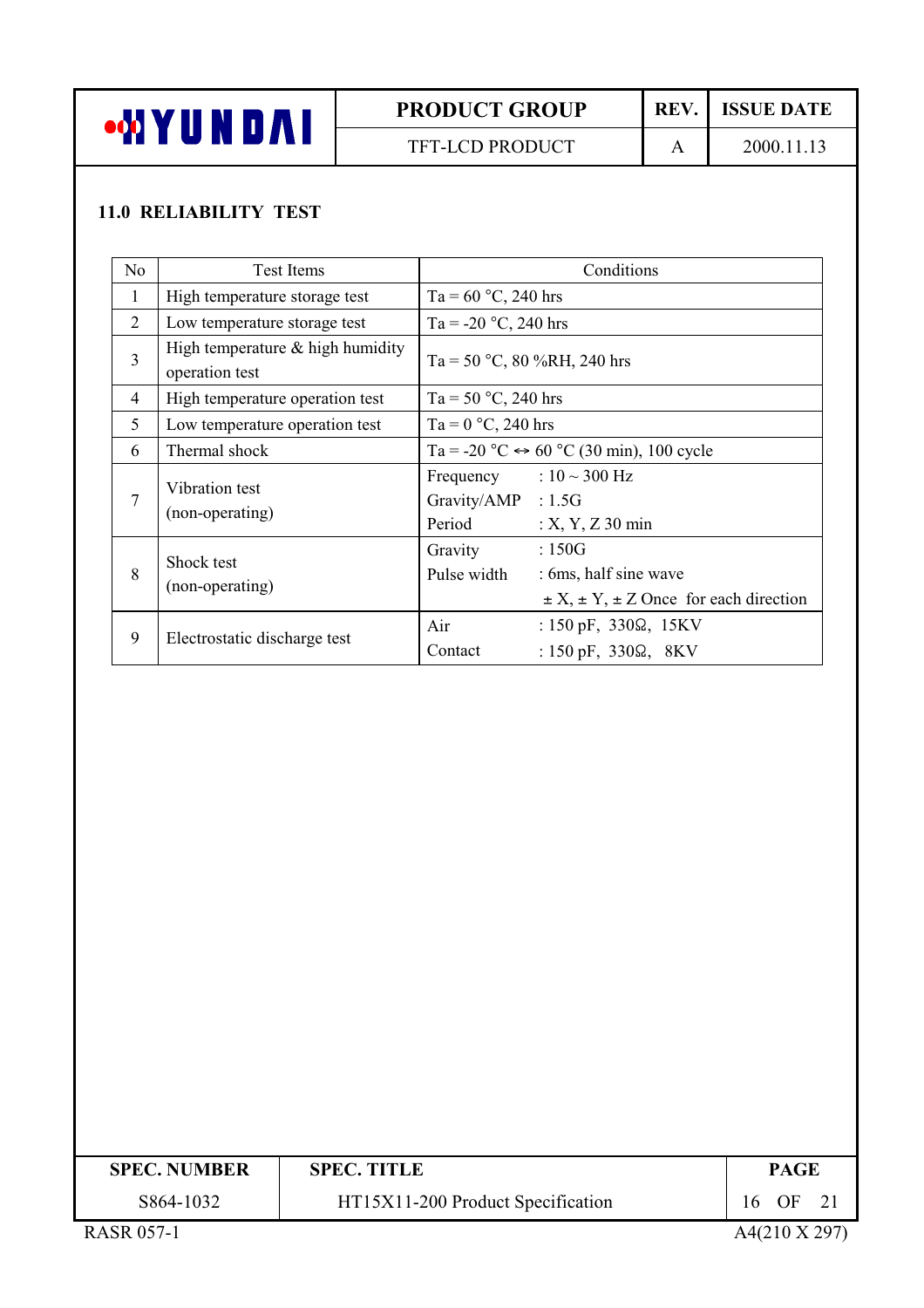

TFT-LCD PRODUCT

REV. **ISSUE DATE** 

 $\mathbf{A}$ 

2000.11.13

### **11.0 RELIABILITY TEST**

| N <sub>o</sub> | Test Items                                            | Conditions                                                                                                             |
|----------------|-------------------------------------------------------|------------------------------------------------------------------------------------------------------------------------|
| $\mathbf{1}$   | High temperature storage test                         | Ta = $60^{\circ}$ C, 240 hrs                                                                                           |
| 2              | Low temperature storage test                          | Ta = -20 $^{\circ}$ C, 240 hrs                                                                                         |
| 3              | High temperature $\&$ high humidity<br>operation test | Ta = 50 °C, 80 %RH, 240 hrs                                                                                            |
| $\overline{4}$ | High temperature operation test                       | Ta = 50 $^{\circ}$ C, 240 hrs                                                                                          |
| 5              | Low temperature operation test                        | Ta = $0^{\circ}$ C, 240 hrs                                                                                            |
| 6              | Thermal shock                                         | Ta = -20 °C $\leftrightarrow$ 60 °C (30 min), 100 cycle                                                                |
| 7              | Vibration test<br>(non-operating)                     | Frequency : $10 \sim 300$ Hz<br>Gravity/AMP : 1.5G<br>Period<br>$: X, Y, Z$ 30 min                                     |
| 8              | Shock test<br>(non-operating)                         | :150G<br>Gravity<br>Pulse width<br>: 6ms, half sine wave<br>$\pm X$ , $\pm Y$ , $\pm Z$ Once for each direction        |
| 9              | Electrostatic discharge test                          | Air<br>: $150 \text{ pF}$ , $330\Omega$ , $15 \text{KV}$<br>Contact<br>: $150 \text{ pF}$ , $330\Omega$ , $8\text{KV}$ |

| <b>SPEC. NUMBER</b> | <b>SPEC. TITLE</b>                | <b>PAGE</b> |
|---------------------|-----------------------------------|-------------|
| S864-1032           | HT15X11-200 Product Specification | OF<br>16    |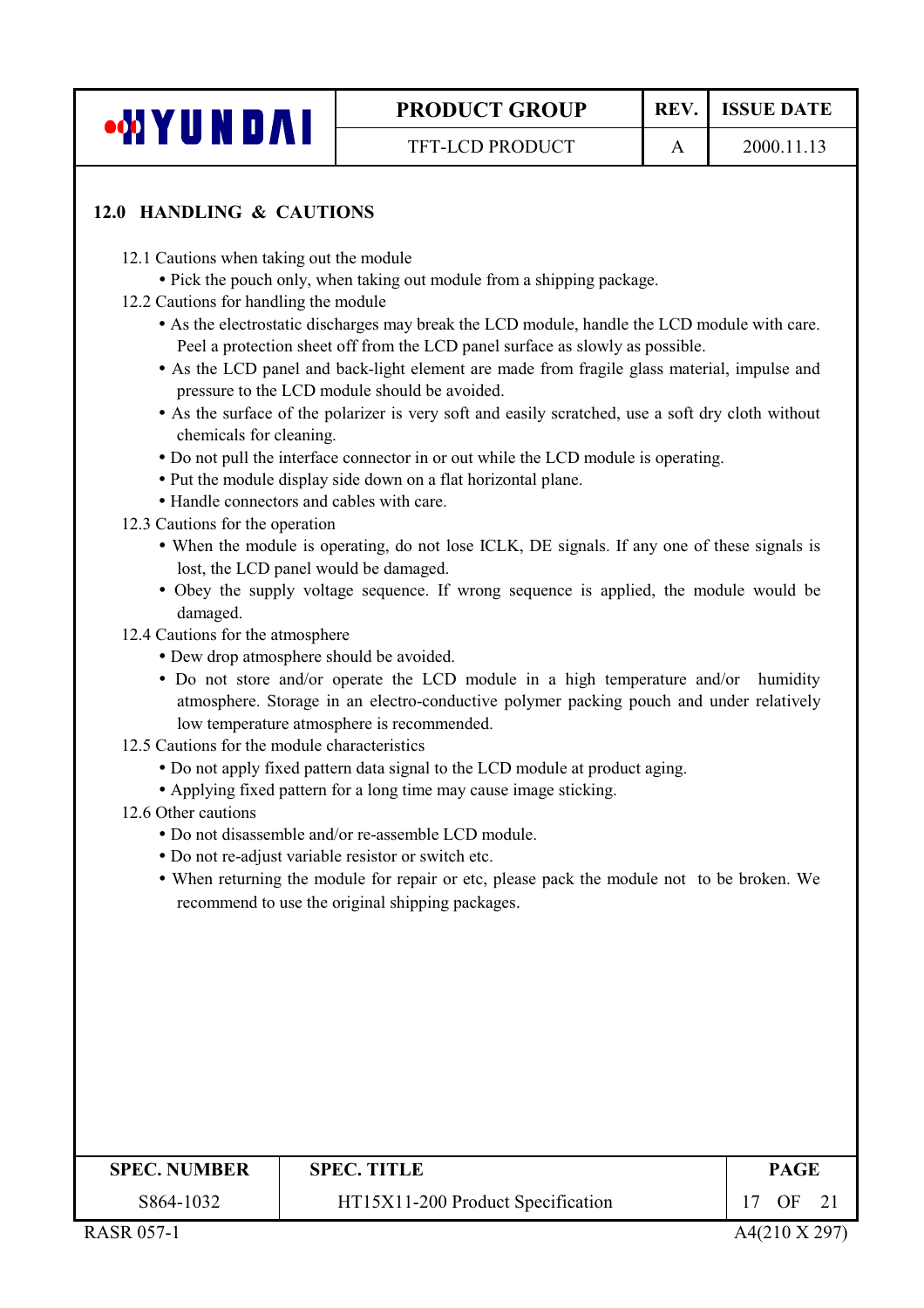| <b>WIYUNDAI</b> |  |  |  |
|-----------------|--|--|--|
|                 |  |  |  |

 $\mathbf{A}$ 

#### 12.0 HANDLING & CAUTIONS

- 12.1 Cautions when taking out the module
	- Pick the pouch only, when taking out module from a shipping package.
- 12.2 Cautions for handling the module
	- As the electrostatic discharges may break the LCD module, handle the LCD module with care. Peel a protection sheet off from the LCD panel surface as slowly as possible.
	- As the LCD panel and back-light element are made from fragile glass material, impulse and pressure to the LCD module should be avoided.
	- As the surface of the polarizer is very soft and easily scratched, use a soft dry cloth without chemicals for cleaning.
	- Do not pull the interface connector in or out while the LCD module is operating.
	- Put the module display side down on a flat horizontal plane.
	- Handle connectors and cables with care.
- 12.3 Cautions for the operation
	- When the module is operating, do not lose ICLK, DE signals. If any one of these signals is lost, the LCD panel would be damaged.
	- Obey the supply voltage sequence. If wrong sequence is applied, the module would be damaged.
- 12.4 Cautions for the atmosphere
	- Dew drop atmosphere should be avoided.
	- Do not store and/or operate the LCD module in a high temperature and/or humidity atmosphere. Storage in an electro-conductive polymer packing pouch and under relatively low temperature atmosphere is recommended.
- 12.5 Cautions for the module characteristics
	- Do not apply fixed pattern data signal to the LCD module at product aging.
	- Applying fixed pattern for a long time may cause image sticking.
- 12.6 Other cautions
	- Do not disassemble and/or re-assemble LCD module
	- Do not re-adjust variable resistor or switch etc.
	- When returning the module for repair or etc, please pack the module not to be broken. We recommend to use the original shipping packages.

| <b>SPEC. NUMBER</b> | <b>SPEC. TITLE</b>                | PAGE |
|---------------------|-----------------------------------|------|
| S864-1032           | HT15X11-200 Product Specification | OΕ   |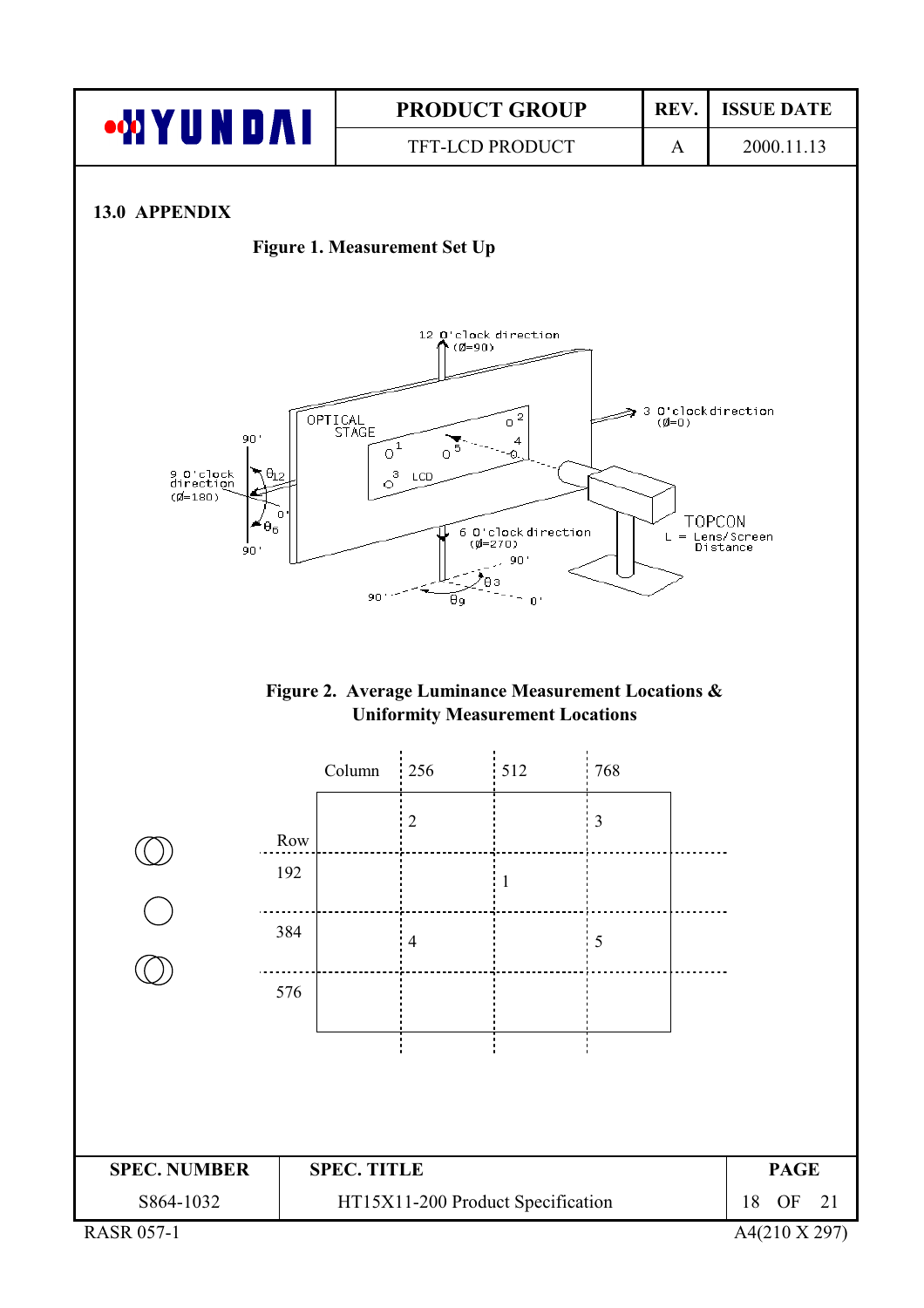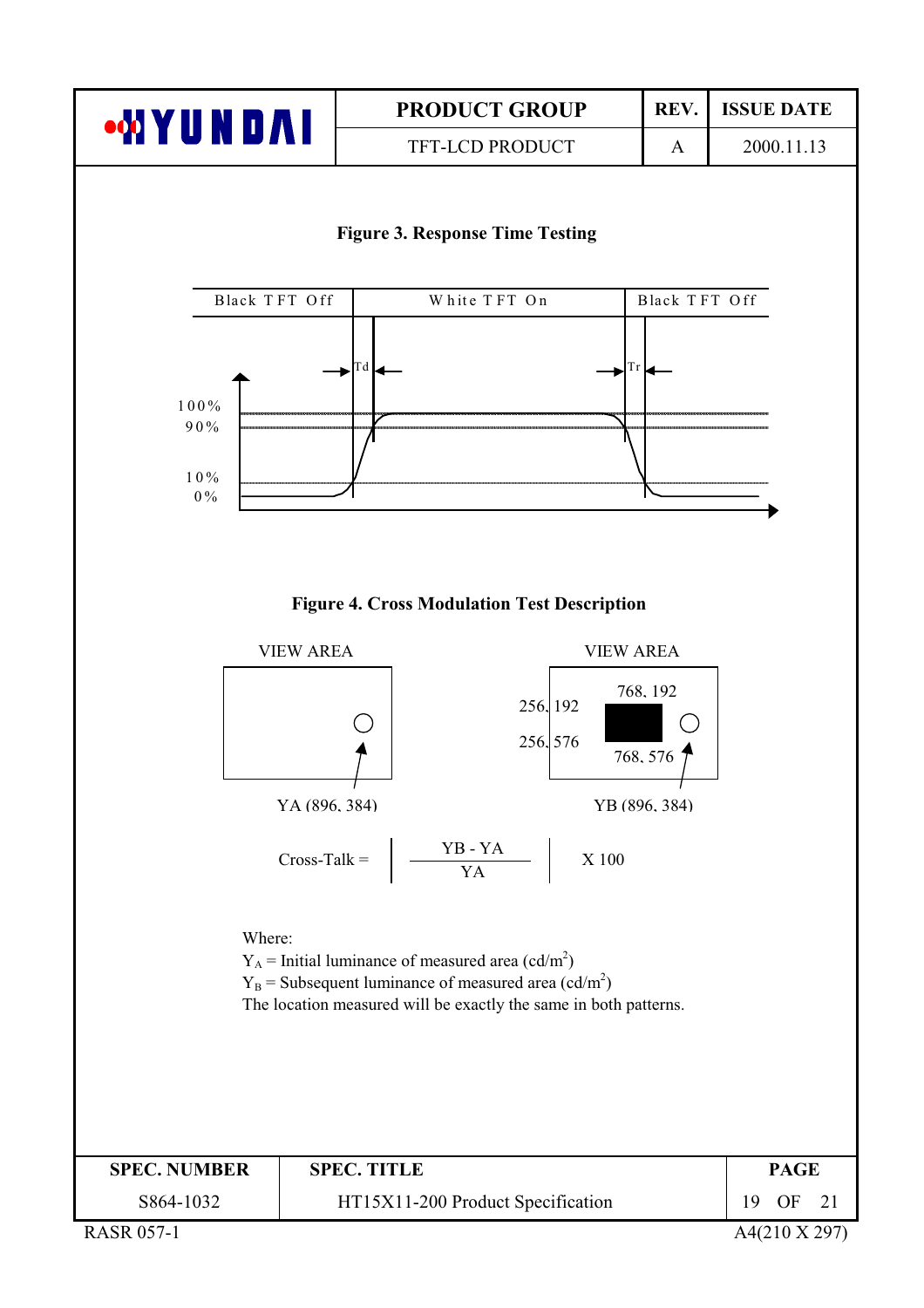![](_page_18_Picture_0.jpeg)

**TFT-LCD PRODUCT** 

REV. **ISSUE DATE** 2000.11.13

 $\overline{A}$ 

**Figure 3. Response Time Testing** 

![](_page_18_Figure_5.jpeg)

#### **Figure 4. Cross Modulation Test Description**

![](_page_18_Figure_7.jpeg)

**RASR 057-1** 

A4(210 X 297)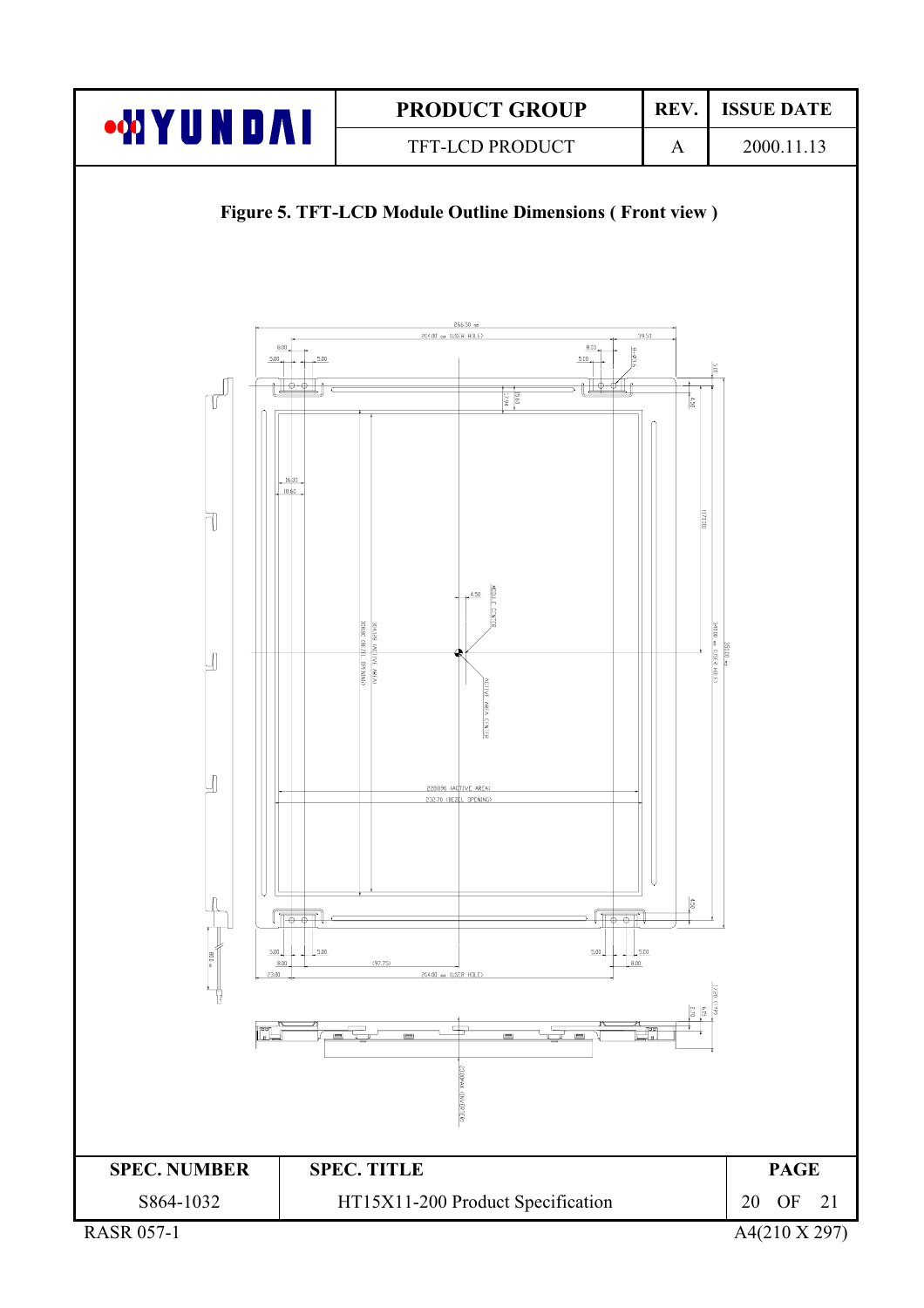![](_page_19_Figure_0.jpeg)